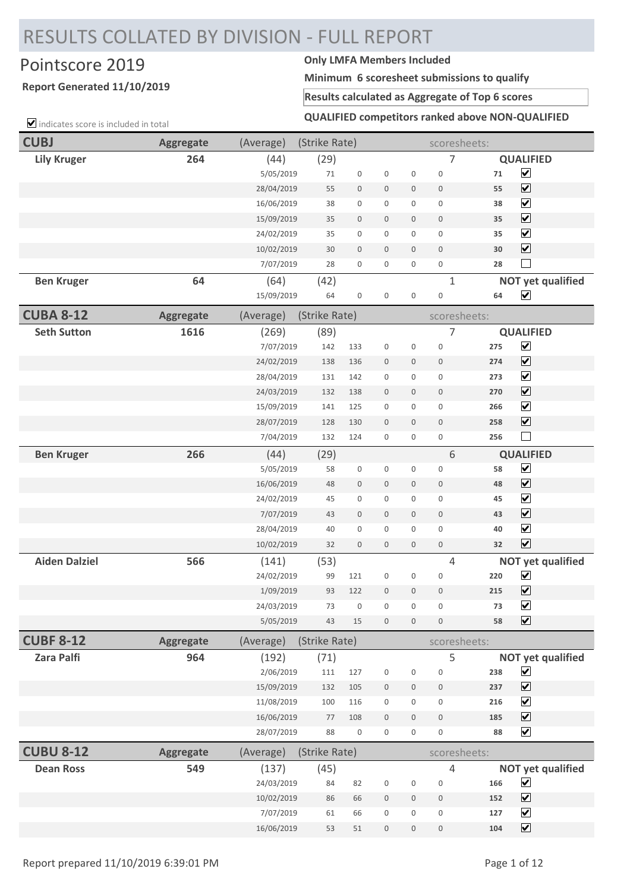# RESULTS COLLATED BY DIVISION - FULL REPORT

## Pointscore 2019 **Only LMFA Members Included**

### **Report Generated 11/10/2019**

**Minimum 6 scoresheet submissions to qualify**

#### **Results calculated as Aggregate of Top 6 scores**

 $\triangledown$  indicates score is included in total

**QUALIFIED competitors ranked above NON-QUALIFIED**

| <b>CUBJ</b>          | <b>Aggregate</b> | (Average)  | (Strike Rate) |                     |                  |                     | scoresheets:        |     |                              |
|----------------------|------------------|------------|---------------|---------------------|------------------|---------------------|---------------------|-----|------------------------------|
| <b>Lily Kruger</b>   | 264              | (44)       | (29)          |                     |                  |                     | 7                   |     | <b>QUALIFIED</b>             |
|                      |                  | 5/05/2019  | 71            | $\mathsf{O}\xspace$ | $\boldsymbol{0}$ | $\mathsf 0$         | $\boldsymbol{0}$    | 71  | $\blacktriangledown$         |
|                      |                  | 28/04/2019 | 55            | $\boldsymbol{0}$    | $\boldsymbol{0}$ | $\boldsymbol{0}$    | $\mathsf{O}\xspace$ | 55  | $\overline{\mathbf{v}}$      |
|                      |                  | 16/06/2019 | 38            | 0                   | $\mathbf 0$      | 0                   | $\mathsf{O}\xspace$ | 38  | $\overline{\mathbf{v}}$      |
|                      |                  | 15/09/2019 | 35            | $\mathbf 0$         | $\boldsymbol{0}$ | $\mathbf 0$         | $\mathsf{O}\xspace$ | 35  | $\boxed{\blacktriangledown}$ |
|                      |                  | 24/02/2019 | 35            | 0                   | $\mathbf 0$      | 0                   | $\boldsymbol{0}$    | 35  | $\overline{\mathbf{v}}$      |
|                      |                  | 10/02/2019 | 30            | $\boldsymbol{0}$    | $\mathbf 0$      | $\mathbf 0$         | $\mathsf{O}\xspace$ | 30  | $\overline{\mathbf{v}}$      |
|                      |                  | 7/07/2019  | 28            | 0                   | $\boldsymbol{0}$ | 0                   | $\boldsymbol{0}$    | 28  |                              |
| <b>Ben Kruger</b>    | 64               | (64)       | (42)          |                     |                  |                     | $\mathbf{1}$        |     | <b>NOT yet qualified</b>     |
|                      |                  | 15/09/2019 | 64            | $\boldsymbol{0}$    | $\boldsymbol{0}$ | $\boldsymbol{0}$    | $\mathbf 0$         | 64  | $\overline{\mathbf{v}}$      |
| <b>CUBA 8-12</b>     | <b>Aggregate</b> | (Average)  | (Strike Rate) |                     |                  |                     | scoresheets:        |     |                              |
| <b>Seth Sutton</b>   | 1616             | (269)      | (89)          |                     |                  |                     | $\overline{7}$      |     | <b>QUALIFIED</b>             |
|                      |                  | 7/07/2019  | 142           | 133                 | $\boldsymbol{0}$ | $\boldsymbol{0}$    | $\mathbf 0$         | 275 | ☑                            |
|                      |                  | 24/02/2019 | 138           | 136                 | $\mathbf 0$      | $\mathbf 0$         | $\boldsymbol{0}$    | 274 | $\boxed{\checkmark}$         |
|                      |                  | 28/04/2019 | 131           | 142                 | $\boldsymbol{0}$ | 0                   | $\mathsf{O}\xspace$ | 273 | $\blacktriangledown$         |
|                      |                  | 24/03/2019 | 132           | 138                 | $\boldsymbol{0}$ | $\boldsymbol{0}$    | $\boldsymbol{0}$    | 270 | $\boxed{\checkmark}$         |
|                      |                  | 15/09/2019 | 141           | 125                 | $\mathbf 0$      | 0                   | $\boldsymbol{0}$    | 266 | $\overline{\mathbf{v}}$      |
|                      |                  | 28/07/2019 | 128           | 130                 | $\boldsymbol{0}$ | $\mathbf 0$         | $\mathsf{O}\xspace$ | 258 | $\overline{\mathbf{v}}$      |
|                      |                  | 7/04/2019  | 132           | 124                 | $\mathbf 0$      | 0                   | $\boldsymbol{0}$    | 256 | $\Box$                       |
| <b>Ben Kruger</b>    | 266              | (44)       | (29)          |                     |                  |                     | 6                   |     | <b>QUALIFIED</b>             |
|                      |                  | 5/05/2019  | 58            | $\boldsymbol{0}$    | $\boldsymbol{0}$ | 0                   | $\boldsymbol{0}$    | 58  | $\blacktriangledown$         |
|                      |                  | 16/06/2019 | 48            | $\boldsymbol{0}$    | $\bf 0$          | $\boldsymbol{0}$    | $\boldsymbol{0}$    | 48  | $\overline{\mathbf{v}}$      |
|                      |                  | 24/02/2019 | 45            | 0                   | $\boldsymbol{0}$ | $\mathbf 0$         | $\boldsymbol{0}$    | 45  | $\overline{\mathbf{v}}$      |
|                      |                  | 7/07/2019  | 43            | $\boldsymbol{0}$    | $\mathbf 0$      | 0                   | $\boldsymbol{0}$    | 43  | $\boxed{\blacktriangledown}$ |
|                      |                  | 28/04/2019 | 40            | 0                   | $\mathbf 0$      | 0                   | $\boldsymbol{0}$    | 40  | $\overline{\mathbf{v}}$      |
|                      |                  | 10/02/2019 | 32            | $\mathbf 0$         | $\boldsymbol{0}$ | $\mathbf 0$         | $\boldsymbol{0}$    | 32  | $\overline{\mathbf{v}}$      |
| <b>Aiden Dalziel</b> | 566              | (141)      | (53)          |                     |                  |                     | 4                   |     | <b>NOT yet qualified</b>     |
|                      |                  | 24/02/2019 | 99            | 121                 | $\mathbf 0$      | 0                   | $\boldsymbol{0}$    | 220 | $\blacktriangledown$         |
|                      |                  | 1/09/2019  | 93            | 122                 | $\mathbf{0}$     | 0                   | $\mathbf 0$         | 215 | $\blacktriangledown$         |
|                      |                  | 24/03/2019 | 73            | $\boldsymbol{0}$    | $\boldsymbol{0}$ | 0                   | $\boldsymbol{0}$    | 73  | $\blacktriangledown$         |
|                      |                  | 5/05/2019  | 43            | 15                  | $\mathbf 0$      | $\mathbf 0$         | $\mathbf 0$         | 58  | $\overline{\mathbf{v}}$      |
| <b>CUBF 8-12</b>     | <b>Aggregate</b> | (Average)  | (Strike Rate) |                     |                  |                     | scoresheets:        |     |                              |
| <b>Zara Palfi</b>    | 964              | (192)      | (71)          |                     |                  |                     | 5                   |     | <b>NOT yet qualified</b>     |
|                      |                  | 2/06/2019  | 111           | 127                 | $\boldsymbol{0}$ | 0                   | $\boldsymbol{0}$    | 238 | $\blacktriangledown$         |
|                      |                  | 15/09/2019 | 132           | 105                 | $\boldsymbol{0}$ | 0                   | $\mathbf 0$         | 237 | $\boxed{\blacktriangledown}$ |
|                      |                  | 11/08/2019 | 100           | 116                 | $\boldsymbol{0}$ | 0                   | $\boldsymbol{0}$    | 216 | $\boxed{\blacktriangledown}$ |
|                      |                  | 16/06/2019 | 77            | 108                 | $\boldsymbol{0}$ | $\mathbf 0$         | $\boldsymbol{0}$    | 185 | $\boxed{\mathbf{v}}$         |
|                      |                  | 28/07/2019 | 88            | $\boldsymbol{0}$    | $\boldsymbol{0}$ | 0                   | 0                   | 88  | $\overline{\mathbf{v}}$      |
| <b>CUBU 8-12</b>     | <b>Aggregate</b> | (Average)  | (Strike Rate) |                     |                  |                     | scoresheets:        |     |                              |
| <b>Dean Ross</b>     | 549              | (137)      | (45)          |                     |                  |                     | 4                   |     | <b>NOT yet qualified</b>     |
|                      |                  | 24/03/2019 | 84            | 82                  | $\boldsymbol{0}$ | $\mathsf 0$         | $\boldsymbol{0}$    | 166 | $\blacktriangledown$         |
|                      |                  | 10/02/2019 | 86            | 66                  | $\boldsymbol{0}$ | $\mathbf 0$         | $\boldsymbol{0}$    | 152 | $\boxed{\blacktriangledown}$ |
|                      |                  | 7/07/2019  | 61            | 66                  | $\boldsymbol{0}$ | 0                   | $\boldsymbol{0}$    | 127 | $\boxed{\blacktriangledown}$ |
|                      |                  | 16/06/2019 | 53            | 51                  | $\boldsymbol{0}$ | $\mathsf{O}\xspace$ | $\boldsymbol{0}$    | 104 | $\boxed{\blacktriangledown}$ |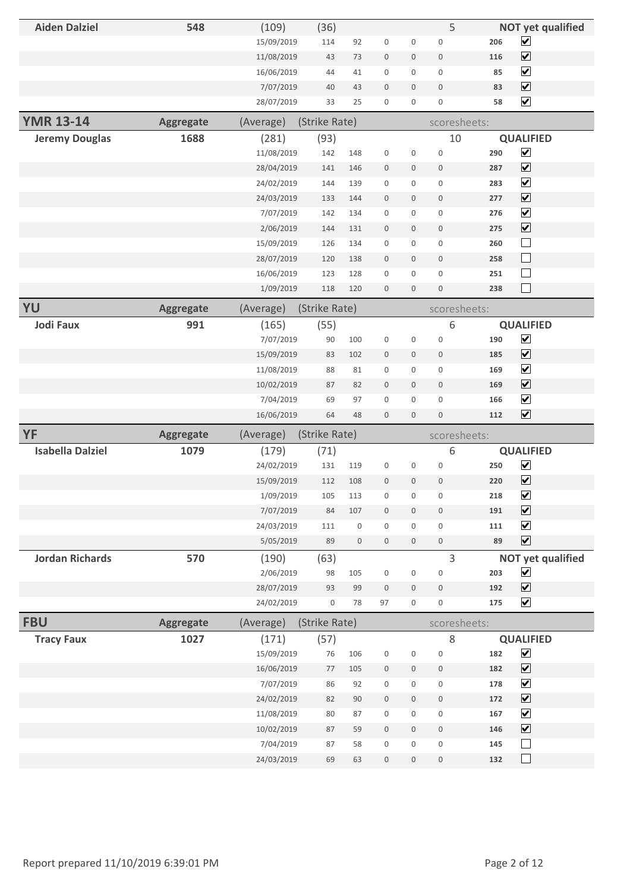| ☑<br>206<br>15/09/2019<br>114<br>92<br>$\boldsymbol{0}$<br>0<br>$\mathbf 0$<br>$\boxed{\blacktriangledown}$<br>11/08/2019<br>73<br>$\,0\,$<br>$\boldsymbol{0}$<br>$\mathbf 0$<br>116<br>43<br>$\boxed{\blacktriangledown}$<br>16/06/2019<br>44<br>41<br>$\boldsymbol{0}$<br>0<br>$\mathbf 0$<br>85<br>$\boxed{\blacktriangledown}$<br>7/07/2019<br>40<br>43<br>$\boldsymbol{0}$<br>$\boldsymbol{0}$<br>$\overline{0}$<br>83<br>$\boxed{\blacktriangledown}$<br>28/07/2019<br>33<br>25<br>$\boldsymbol{0}$<br>58<br>$\boldsymbol{0}$<br>0<br><b>YMR 13-14</b><br>(Strike Rate)<br><b>Aggregate</b><br>(Average)<br>scoresheets:<br><b>QUALIFIED</b><br>1688<br>(281)<br>(93)<br>10<br><b>Jeremy Douglas</b><br>$\boxed{\blacktriangledown}$<br>11/08/2019<br>142<br>$\boldsymbol{0}$<br>0<br>$\mathbf 0$<br>290<br>148<br>$\boxed{\blacktriangledown}$<br>28/04/2019<br>141<br>146<br>$\boldsymbol{0}$<br>$\mathbf 0$<br>$\mathbf 0$<br>287<br>$\overline{\mathbf{v}}$<br>$\mathsf{O}\xspace$<br>24/02/2019<br>144<br>139<br>0<br>$\mathbf 0$<br>283<br>$\overline{\mathbf{v}}$<br>24/03/2019<br>133<br>144<br>$\bf 0$<br>$\boldsymbol{0}$<br>$\mathbf 0$<br>277<br>$\overline{\mathbf{v}}$<br>7/07/2019<br>$\boldsymbol{0}$<br>0<br>$\mathbf 0$<br>276<br>142<br>134<br>☑<br>2/06/2019<br>275<br>144<br>131<br>$\mathbf 0$<br>0<br>$\overline{0}$<br>$\Box$<br>15/09/2019<br>126<br>134<br>$\mathbf 0$<br>0<br>$\mathbf 0$<br>260<br>$\Box$<br>28/07/2019<br>120<br>138<br>$\mathbb O$<br>$\boldsymbol{0}$<br>$\mathbf 0$<br>258<br>$\Box$<br>16/06/2019<br>123<br>128<br>$\boldsymbol{0}$<br>0<br>$\mathbf 0$<br>251<br>$\Box$<br>1/09/2019<br>118<br>$\boldsymbol{0}$<br>$\boldsymbol{0}$<br>$\mathbb O$<br>238<br>120<br>YU<br><b>Aggregate</b><br>(Strike Rate)<br>(Average)<br>scoresheets: | 5<br><b>Aiden Dalziel</b><br>548<br>(109)<br><b>NOT yet qualified</b><br>(36)                                   |  |  |
|--------------------------------------------------------------------------------------------------------------------------------------------------------------------------------------------------------------------------------------------------------------------------------------------------------------------------------------------------------------------------------------------------------------------------------------------------------------------------------------------------------------------------------------------------------------------------------------------------------------------------------------------------------------------------------------------------------------------------------------------------------------------------------------------------------------------------------------------------------------------------------------------------------------------------------------------------------------------------------------------------------------------------------------------------------------------------------------------------------------------------------------------------------------------------------------------------------------------------------------------------------------------------------------------------------------------------------------------------------------------------------------------------------------------------------------------------------------------------------------------------------------------------------------------------------------------------------------------------------------------------------------------------------------------------------------------------------------------------------------------------------------------------------------------------|-----------------------------------------------------------------------------------------------------------------|--|--|
|                                                                                                                                                                                                                                                                                                                                                                                                                                                                                                                                                                                                                                                                                                                                                                                                                                                                                                                                                                                                                                                                                                                                                                                                                                                                                                                                                                                                                                                                                                                                                                                                                                                                                                                                                                                                  |                                                                                                                 |  |  |
|                                                                                                                                                                                                                                                                                                                                                                                                                                                                                                                                                                                                                                                                                                                                                                                                                                                                                                                                                                                                                                                                                                                                                                                                                                                                                                                                                                                                                                                                                                                                                                                                                                                                                                                                                                                                  |                                                                                                                 |  |  |
|                                                                                                                                                                                                                                                                                                                                                                                                                                                                                                                                                                                                                                                                                                                                                                                                                                                                                                                                                                                                                                                                                                                                                                                                                                                                                                                                                                                                                                                                                                                                                                                                                                                                                                                                                                                                  |                                                                                                                 |  |  |
|                                                                                                                                                                                                                                                                                                                                                                                                                                                                                                                                                                                                                                                                                                                                                                                                                                                                                                                                                                                                                                                                                                                                                                                                                                                                                                                                                                                                                                                                                                                                                                                                                                                                                                                                                                                                  |                                                                                                                 |  |  |
|                                                                                                                                                                                                                                                                                                                                                                                                                                                                                                                                                                                                                                                                                                                                                                                                                                                                                                                                                                                                                                                                                                                                                                                                                                                                                                                                                                                                                                                                                                                                                                                                                                                                                                                                                                                                  |                                                                                                                 |  |  |
|                                                                                                                                                                                                                                                                                                                                                                                                                                                                                                                                                                                                                                                                                                                                                                                                                                                                                                                                                                                                                                                                                                                                                                                                                                                                                                                                                                                                                                                                                                                                                                                                                                                                                                                                                                                                  |                                                                                                                 |  |  |
|                                                                                                                                                                                                                                                                                                                                                                                                                                                                                                                                                                                                                                                                                                                                                                                                                                                                                                                                                                                                                                                                                                                                                                                                                                                                                                                                                                                                                                                                                                                                                                                                                                                                                                                                                                                                  |                                                                                                                 |  |  |
|                                                                                                                                                                                                                                                                                                                                                                                                                                                                                                                                                                                                                                                                                                                                                                                                                                                                                                                                                                                                                                                                                                                                                                                                                                                                                                                                                                                                                                                                                                                                                                                                                                                                                                                                                                                                  |                                                                                                                 |  |  |
|                                                                                                                                                                                                                                                                                                                                                                                                                                                                                                                                                                                                                                                                                                                                                                                                                                                                                                                                                                                                                                                                                                                                                                                                                                                                                                                                                                                                                                                                                                                                                                                                                                                                                                                                                                                                  |                                                                                                                 |  |  |
|                                                                                                                                                                                                                                                                                                                                                                                                                                                                                                                                                                                                                                                                                                                                                                                                                                                                                                                                                                                                                                                                                                                                                                                                                                                                                                                                                                                                                                                                                                                                                                                                                                                                                                                                                                                                  |                                                                                                                 |  |  |
|                                                                                                                                                                                                                                                                                                                                                                                                                                                                                                                                                                                                                                                                                                                                                                                                                                                                                                                                                                                                                                                                                                                                                                                                                                                                                                                                                                                                                                                                                                                                                                                                                                                                                                                                                                                                  |                                                                                                                 |  |  |
|                                                                                                                                                                                                                                                                                                                                                                                                                                                                                                                                                                                                                                                                                                                                                                                                                                                                                                                                                                                                                                                                                                                                                                                                                                                                                                                                                                                                                                                                                                                                                                                                                                                                                                                                                                                                  |                                                                                                                 |  |  |
|                                                                                                                                                                                                                                                                                                                                                                                                                                                                                                                                                                                                                                                                                                                                                                                                                                                                                                                                                                                                                                                                                                                                                                                                                                                                                                                                                                                                                                                                                                                                                                                                                                                                                                                                                                                                  |                                                                                                                 |  |  |
|                                                                                                                                                                                                                                                                                                                                                                                                                                                                                                                                                                                                                                                                                                                                                                                                                                                                                                                                                                                                                                                                                                                                                                                                                                                                                                                                                                                                                                                                                                                                                                                                                                                                                                                                                                                                  |                                                                                                                 |  |  |
|                                                                                                                                                                                                                                                                                                                                                                                                                                                                                                                                                                                                                                                                                                                                                                                                                                                                                                                                                                                                                                                                                                                                                                                                                                                                                                                                                                                                                                                                                                                                                                                                                                                                                                                                                                                                  |                                                                                                                 |  |  |
|                                                                                                                                                                                                                                                                                                                                                                                                                                                                                                                                                                                                                                                                                                                                                                                                                                                                                                                                                                                                                                                                                                                                                                                                                                                                                                                                                                                                                                                                                                                                                                                                                                                                                                                                                                                                  |                                                                                                                 |  |  |
|                                                                                                                                                                                                                                                                                                                                                                                                                                                                                                                                                                                                                                                                                                                                                                                                                                                                                                                                                                                                                                                                                                                                                                                                                                                                                                                                                                                                                                                                                                                                                                                                                                                                                                                                                                                                  |                                                                                                                 |  |  |
|                                                                                                                                                                                                                                                                                                                                                                                                                                                                                                                                                                                                                                                                                                                                                                                                                                                                                                                                                                                                                                                                                                                                                                                                                                                                                                                                                                                                                                                                                                                                                                                                                                                                                                                                                                                                  |                                                                                                                 |  |  |
| <b>Jodi Faux</b><br>991                                                                                                                                                                                                                                                                                                                                                                                                                                                                                                                                                                                                                                                                                                                                                                                                                                                                                                                                                                                                                                                                                                                                                                                                                                                                                                                                                                                                                                                                                                                                                                                                                                                                                                                                                                          |                                                                                                                 |  |  |
|                                                                                                                                                                                                                                                                                                                                                                                                                                                                                                                                                                                                                                                                                                                                                                                                                                                                                                                                                                                                                                                                                                                                                                                                                                                                                                                                                                                                                                                                                                                                                                                                                                                                                                                                                                                                  |                                                                                                                 |  |  |
|                                                                                                                                                                                                                                                                                                                                                                                                                                                                                                                                                                                                                                                                                                                                                                                                                                                                                                                                                                                                                                                                                                                                                                                                                                                                                                                                                                                                                                                                                                                                                                                                                                                                                                                                                                                                  | 6<br><b>QUALIFIED</b><br>(165)<br>(55)<br>7/07/2019<br>90<br>100<br>$\boldsymbol{0}$<br>$\mathbf 0$<br>190<br>0 |  |  |
| 15/09/2019<br>83<br>102<br>$\mathbb O$<br>185<br>$\mathbf 0$<br>0                                                                                                                                                                                                                                                                                                                                                                                                                                                                                                                                                                                                                                                                                                                                                                                                                                                                                                                                                                                                                                                                                                                                                                                                                                                                                                                                                                                                                                                                                                                                                                                                                                                                                                                                | $\blacktriangledown$                                                                                            |  |  |
| $\boxed{\blacktriangledown}$<br>11/08/2019<br>88<br>81<br>$\mathbf 0$<br>0<br>$\mathbf 0$<br>169                                                                                                                                                                                                                                                                                                                                                                                                                                                                                                                                                                                                                                                                                                                                                                                                                                                                                                                                                                                                                                                                                                                                                                                                                                                                                                                                                                                                                                                                                                                                                                                                                                                                                                 |                                                                                                                 |  |  |
| $\boxed{\blacktriangledown}$<br>87<br>82<br>$\mathbf 0$<br>$\mathbf 0$<br>$\mathbf 0$<br>169                                                                                                                                                                                                                                                                                                                                                                                                                                                                                                                                                                                                                                                                                                                                                                                                                                                                                                                                                                                                                                                                                                                                                                                                                                                                                                                                                                                                                                                                                                                                                                                                                                                                                                     |                                                                                                                 |  |  |
| $\overline{\mathbf{v}}$<br>10/02/2019<br>69<br>97<br>$\mathbf 0$<br>0<br>$\boldsymbol{0}$<br>166                                                                                                                                                                                                                                                                                                                                                                                                                                                                                                                                                                                                                                                                                                                                                                                                                                                                                                                                                                                                                                                                                                                                                                                                                                                                                                                                                                                                                                                                                                                                                                                                                                                                                                 |                                                                                                                 |  |  |
| $\blacktriangledown$<br>7/04/2019<br>$\overline{\mathbf{v}}$<br>16/06/2019<br>64<br>$\mathbf 0$<br>$\mathbf 0$<br>$\boldsymbol{0}$<br>48<br>112                                                                                                                                                                                                                                                                                                                                                                                                                                                                                                                                                                                                                                                                                                                                                                                                                                                                                                                                                                                                                                                                                                                                                                                                                                                                                                                                                                                                                                                                                                                                                                                                                                                  |                                                                                                                 |  |  |
| YF                                                                                                                                                                                                                                                                                                                                                                                                                                                                                                                                                                                                                                                                                                                                                                                                                                                                                                                                                                                                                                                                                                                                                                                                                                                                                                                                                                                                                                                                                                                                                                                                                                                                                                                                                                                               |                                                                                                                 |  |  |
| (Strike Rate)<br><b>Aggregate</b><br>(Average)<br>scoresheets:                                                                                                                                                                                                                                                                                                                                                                                                                                                                                                                                                                                                                                                                                                                                                                                                                                                                                                                                                                                                                                                                                                                                                                                                                                                                                                                                                                                                                                                                                                                                                                                                                                                                                                                                   |                                                                                                                 |  |  |
| <b>Isabella Dalziel</b><br>6<br>1079<br>(179)<br>(71)<br><b>QUALIFIED</b><br>$\blacktriangledown$<br>$\mathbf 0$<br>24/02/2019<br>131<br>119<br>$\boldsymbol{0}$<br>0<br>250                                                                                                                                                                                                                                                                                                                                                                                                                                                                                                                                                                                                                                                                                                                                                                                                                                                                                                                                                                                                                                                                                                                                                                                                                                                                                                                                                                                                                                                                                                                                                                                                                     |                                                                                                                 |  |  |
| $\blacktriangledown$<br>15/09/2019<br>$\mathbf 0$<br>$\mathbf 0$<br>$\mathbf 0$<br>220<br>112<br>108                                                                                                                                                                                                                                                                                                                                                                                                                                                                                                                                                                                                                                                                                                                                                                                                                                                                                                                                                                                                                                                                                                                                                                                                                                                                                                                                                                                                                                                                                                                                                                                                                                                                                             |                                                                                                                 |  |  |
| 1/09/2019<br>105<br>113<br>0<br>0<br>0<br>218                                                                                                                                                                                                                                                                                                                                                                                                                                                                                                                                                                                                                                                                                                                                                                                                                                                                                                                                                                                                                                                                                                                                                                                                                                                                                                                                                                                                                                                                                                                                                                                                                                                                                                                                                    |                                                                                                                 |  |  |
| $\boxed{\blacktriangledown}$<br>$\overline{\mathbf{v}}$<br>7/07/2019<br>84<br>107<br>$\mathbb O$<br>$\mathbf 0$<br>$\mathbb O$<br>191                                                                                                                                                                                                                                                                                                                                                                                                                                                                                                                                                                                                                                                                                                                                                                                                                                                                                                                                                                                                                                                                                                                                                                                                                                                                                                                                                                                                                                                                                                                                                                                                                                                            |                                                                                                                 |  |  |
| 0<br>$\mathsf{O}\xspace$<br>0<br>$\mathsf{O}\xspace$<br>111<br>111                                                                                                                                                                                                                                                                                                                                                                                                                                                                                                                                                                                                                                                                                                                                                                                                                                                                                                                                                                                                                                                                                                                                                                                                                                                                                                                                                                                                                                                                                                                                                                                                                                                                                                                               |                                                                                                                 |  |  |
| $\overline{\mathbf{v}}$<br>24/03/2019<br>$\boxed{\blacktriangledown}$<br>5/05/2019<br>$\boldsymbol{0}$<br>89<br>89<br>$\boldsymbol{0}$<br>$\boldsymbol{0}$<br>$\boldsymbol{0}$                                                                                                                                                                                                                                                                                                                                                                                                                                                                                                                                                                                                                                                                                                                                                                                                                                                                                                                                                                                                                                                                                                                                                                                                                                                                                                                                                                                                                                                                                                                                                                                                                   |                                                                                                                 |  |  |
| $\overline{3}$<br><b>Jordan Richards</b><br>570<br><b>NOT yet qualified</b><br>(190)<br>(63)                                                                                                                                                                                                                                                                                                                                                                                                                                                                                                                                                                                                                                                                                                                                                                                                                                                                                                                                                                                                                                                                                                                                                                                                                                                                                                                                                                                                                                                                                                                                                                                                                                                                                                     |                                                                                                                 |  |  |
| $\blacktriangledown$<br>2/06/2019<br>$\mathbf 0$<br>98<br>105<br>$\boldsymbol{0}$<br>0<br>203                                                                                                                                                                                                                                                                                                                                                                                                                                                                                                                                                                                                                                                                                                                                                                                                                                                                                                                                                                                                                                                                                                                                                                                                                                                                                                                                                                                                                                                                                                                                                                                                                                                                                                    |                                                                                                                 |  |  |
| $\boxed{\blacktriangledown}$<br>28/07/2019<br>99<br>192<br>93<br>$\mathbf 0$<br>$\mathbf 0$<br>0                                                                                                                                                                                                                                                                                                                                                                                                                                                                                                                                                                                                                                                                                                                                                                                                                                                                                                                                                                                                                                                                                                                                                                                                                                                                                                                                                                                                                                                                                                                                                                                                                                                                                                 |                                                                                                                 |  |  |
| $\overline{\mathbf{v}}$<br>24/02/2019<br>$\mathsf{O}\xspace$<br>$\boldsymbol{0}$<br>78<br>97<br>0<br>175                                                                                                                                                                                                                                                                                                                                                                                                                                                                                                                                                                                                                                                                                                                                                                                                                                                                                                                                                                                                                                                                                                                                                                                                                                                                                                                                                                                                                                                                                                                                                                                                                                                                                         |                                                                                                                 |  |  |
| <b>FBU</b><br><b>Aggregate</b><br>(Strike Rate)<br>(Average)<br>scoresheets:                                                                                                                                                                                                                                                                                                                                                                                                                                                                                                                                                                                                                                                                                                                                                                                                                                                                                                                                                                                                                                                                                                                                                                                                                                                                                                                                                                                                                                                                                                                                                                                                                                                                                                                     |                                                                                                                 |  |  |
| 1027<br>$\,8\,$<br><b>QUALIFIED</b><br><b>Tracy Faux</b><br>(171)<br>(57)                                                                                                                                                                                                                                                                                                                                                                                                                                                                                                                                                                                                                                                                                                                                                                                                                                                                                                                                                                                                                                                                                                                                                                                                                                                                                                                                                                                                                                                                                                                                                                                                                                                                                                                        |                                                                                                                 |  |  |
| $\boxed{\blacktriangledown}$<br>15/09/2019<br>76<br>106<br>$\boldsymbol{0}$<br>0<br>$\mathbf 0$<br>182                                                                                                                                                                                                                                                                                                                                                                                                                                                                                                                                                                                                                                                                                                                                                                                                                                                                                                                                                                                                                                                                                                                                                                                                                                                                                                                                                                                                                                                                                                                                                                                                                                                                                           |                                                                                                                 |  |  |
| $\boxed{\blacktriangledown}$<br>16/06/2019<br>77<br>105<br>$\boldsymbol{0}$<br>$\mathbf 0$<br>$\mathbf 0$<br>182                                                                                                                                                                                                                                                                                                                                                                                                                                                                                                                                                                                                                                                                                                                                                                                                                                                                                                                                                                                                                                                                                                                                                                                                                                                                                                                                                                                                                                                                                                                                                                                                                                                                                 |                                                                                                                 |  |  |
| $\boxed{\blacktriangledown}$<br>7/07/2019<br>86<br>92<br>$\boldsymbol{0}$<br>0<br>$\boldsymbol{0}$<br>178                                                                                                                                                                                                                                                                                                                                                                                                                                                                                                                                                                                                                                                                                                                                                                                                                                                                                                                                                                                                                                                                                                                                                                                                                                                                                                                                                                                                                                                                                                                                                                                                                                                                                        |                                                                                                                 |  |  |
| $\boxed{\blacktriangledown}$<br>24/02/2019<br>90<br>82<br>$\boldsymbol{0}$<br>$\boldsymbol{0}$<br>$\mathbf 0$<br>172                                                                                                                                                                                                                                                                                                                                                                                                                                                                                                                                                                                                                                                                                                                                                                                                                                                                                                                                                                                                                                                                                                                                                                                                                                                                                                                                                                                                                                                                                                                                                                                                                                                                             |                                                                                                                 |  |  |
| $\boxed{\blacktriangledown}$<br>11/08/2019<br>87<br>$\mathsf{O}\xspace$<br>$\mathsf{O}\xspace$<br>167<br>80<br>0                                                                                                                                                                                                                                                                                                                                                                                                                                                                                                                                                                                                                                                                                                                                                                                                                                                                                                                                                                                                                                                                                                                                                                                                                                                                                                                                                                                                                                                                                                                                                                                                                                                                                 |                                                                                                                 |  |  |
| $\boxed{\blacktriangledown}$<br>10/02/2019<br>87<br>$\boldsymbol{0}$<br>$\boldsymbol{0}$<br>59<br>0<br>146                                                                                                                                                                                                                                                                                                                                                                                                                                                                                                                                                                                                                                                                                                                                                                                                                                                                                                                                                                                                                                                                                                                                                                                                                                                                                                                                                                                                                                                                                                                                                                                                                                                                                       |                                                                                                                 |  |  |
| $\Box$<br>7/04/2019<br>87<br>58<br>$\mathbf 0$<br>0<br>$\mathbf 0$<br>145                                                                                                                                                                                                                                                                                                                                                                                                                                                                                                                                                                                                                                                                                                                                                                                                                                                                                                                                                                                                                                                                                                                                                                                                                                                                                                                                                                                                                                                                                                                                                                                                                                                                                                                        |                                                                                                                 |  |  |
|                                                                                                                                                                                                                                                                                                                                                                                                                                                                                                                                                                                                                                                                                                                                                                                                                                                                                                                                                                                                                                                                                                                                                                                                                                                                                                                                                                                                                                                                                                                                                                                                                                                                                                                                                                                                  |                                                                                                                 |  |  |
|                                                                                                                                                                                                                                                                                                                                                                                                                                                                                                                                                                                                                                                                                                                                                                                                                                                                                                                                                                                                                                                                                                                                                                                                                                                                                                                                                                                                                                                                                                                                                                                                                                                                                                                                                                                                  |                                                                                                                 |  |  |
|                                                                                                                                                                                                                                                                                                                                                                                                                                                                                                                                                                                                                                                                                                                                                                                                                                                                                                                                                                                                                                                                                                                                                                                                                                                                                                                                                                                                                                                                                                                                                                                                                                                                                                                                                                                                  |                                                                                                                 |  |  |
|                                                                                                                                                                                                                                                                                                                                                                                                                                                                                                                                                                                                                                                                                                                                                                                                                                                                                                                                                                                                                                                                                                                                                                                                                                                                                                                                                                                                                                                                                                                                                                                                                                                                                                                                                                                                  |                                                                                                                 |  |  |
|                                                                                                                                                                                                                                                                                                                                                                                                                                                                                                                                                                                                                                                                                                                                                                                                                                                                                                                                                                                                                                                                                                                                                                                                                                                                                                                                                                                                                                                                                                                                                                                                                                                                                                                                                                                                  |                                                                                                                 |  |  |
|                                                                                                                                                                                                                                                                                                                                                                                                                                                                                                                                                                                                                                                                                                                                                                                                                                                                                                                                                                                                                                                                                                                                                                                                                                                                                                                                                                                                                                                                                                                                                                                                                                                                                                                                                                                                  |                                                                                                                 |  |  |
|                                                                                                                                                                                                                                                                                                                                                                                                                                                                                                                                                                                                                                                                                                                                                                                                                                                                                                                                                                                                                                                                                                                                                                                                                                                                                                                                                                                                                                                                                                                                                                                                                                                                                                                                                                                                  |                                                                                                                 |  |  |
|                                                                                                                                                                                                                                                                                                                                                                                                                                                                                                                                                                                                                                                                                                                                                                                                                                                                                                                                                                                                                                                                                                                                                                                                                                                                                                                                                                                                                                                                                                                                                                                                                                                                                                                                                                                                  |                                                                                                                 |  |  |
|                                                                                                                                                                                                                                                                                                                                                                                                                                                                                                                                                                                                                                                                                                                                                                                                                                                                                                                                                                                                                                                                                                                                                                                                                                                                                                                                                                                                                                                                                                                                                                                                                                                                                                                                                                                                  |                                                                                                                 |  |  |
|                                                                                                                                                                                                                                                                                                                                                                                                                                                                                                                                                                                                                                                                                                                                                                                                                                                                                                                                                                                                                                                                                                                                                                                                                                                                                                                                                                                                                                                                                                                                                                                                                                                                                                                                                                                                  |                                                                                                                 |  |  |
|                                                                                                                                                                                                                                                                                                                                                                                                                                                                                                                                                                                                                                                                                                                                                                                                                                                                                                                                                                                                                                                                                                                                                                                                                                                                                                                                                                                                                                                                                                                                                                                                                                                                                                                                                                                                  |                                                                                                                 |  |  |
|                                                                                                                                                                                                                                                                                                                                                                                                                                                                                                                                                                                                                                                                                                                                                                                                                                                                                                                                                                                                                                                                                                                                                                                                                                                                                                                                                                                                                                                                                                                                                                                                                                                                                                                                                                                                  |                                                                                                                 |  |  |
|                                                                                                                                                                                                                                                                                                                                                                                                                                                                                                                                                                                                                                                                                                                                                                                                                                                                                                                                                                                                                                                                                                                                                                                                                                                                                                                                                                                                                                                                                                                                                                                                                                                                                                                                                                                                  |                                                                                                                 |  |  |
|                                                                                                                                                                                                                                                                                                                                                                                                                                                                                                                                                                                                                                                                                                                                                                                                                                                                                                                                                                                                                                                                                                                                                                                                                                                                                                                                                                                                                                                                                                                                                                                                                                                                                                                                                                                                  |                                                                                                                 |  |  |
|                                                                                                                                                                                                                                                                                                                                                                                                                                                                                                                                                                                                                                                                                                                                                                                                                                                                                                                                                                                                                                                                                                                                                                                                                                                                                                                                                                                                                                                                                                                                                                                                                                                                                                                                                                                                  |                                                                                                                 |  |  |
|                                                                                                                                                                                                                                                                                                                                                                                                                                                                                                                                                                                                                                                                                                                                                                                                                                                                                                                                                                                                                                                                                                                                                                                                                                                                                                                                                                                                                                                                                                                                                                                                                                                                                                                                                                                                  |                                                                                                                 |  |  |
|                                                                                                                                                                                                                                                                                                                                                                                                                                                                                                                                                                                                                                                                                                                                                                                                                                                                                                                                                                                                                                                                                                                                                                                                                                                                                                                                                                                                                                                                                                                                                                                                                                                                                                                                                                                                  |                                                                                                                 |  |  |
|                                                                                                                                                                                                                                                                                                                                                                                                                                                                                                                                                                                                                                                                                                                                                                                                                                                                                                                                                                                                                                                                                                                                                                                                                                                                                                                                                                                                                                                                                                                                                                                                                                                                                                                                                                                                  |                                                                                                                 |  |  |
|                                                                                                                                                                                                                                                                                                                                                                                                                                                                                                                                                                                                                                                                                                                                                                                                                                                                                                                                                                                                                                                                                                                                                                                                                                                                                                                                                                                                                                                                                                                                                                                                                                                                                                                                                                                                  |                                                                                                                 |  |  |
|                                                                                                                                                                                                                                                                                                                                                                                                                                                                                                                                                                                                                                                                                                                                                                                                                                                                                                                                                                                                                                                                                                                                                                                                                                                                                                                                                                                                                                                                                                                                                                                                                                                                                                                                                                                                  |                                                                                                                 |  |  |
|                                                                                                                                                                                                                                                                                                                                                                                                                                                                                                                                                                                                                                                                                                                                                                                                                                                                                                                                                                                                                                                                                                                                                                                                                                                                                                                                                                                                                                                                                                                                                                                                                                                                                                                                                                                                  |                                                                                                                 |  |  |
|                                                                                                                                                                                                                                                                                                                                                                                                                                                                                                                                                                                                                                                                                                                                                                                                                                                                                                                                                                                                                                                                                                                                                                                                                                                                                                                                                                                                                                                                                                                                                                                                                                                                                                                                                                                                  |                                                                                                                 |  |  |
|                                                                                                                                                                                                                                                                                                                                                                                                                                                                                                                                                                                                                                                                                                                                                                                                                                                                                                                                                                                                                                                                                                                                                                                                                                                                                                                                                                                                                                                                                                                                                                                                                                                                                                                                                                                                  |                                                                                                                 |  |  |
|                                                                                                                                                                                                                                                                                                                                                                                                                                                                                                                                                                                                                                                                                                                                                                                                                                                                                                                                                                                                                                                                                                                                                                                                                                                                                                                                                                                                                                                                                                                                                                                                                                                                                                                                                                                                  |                                                                                                                 |  |  |
|                                                                                                                                                                                                                                                                                                                                                                                                                                                                                                                                                                                                                                                                                                                                                                                                                                                                                                                                                                                                                                                                                                                                                                                                                                                                                                                                                                                                                                                                                                                                                                                                                                                                                                                                                                                                  |                                                                                                                 |  |  |
|                                                                                                                                                                                                                                                                                                                                                                                                                                                                                                                                                                                                                                                                                                                                                                                                                                                                                                                                                                                                                                                                                                                                                                                                                                                                                                                                                                                                                                                                                                                                                                                                                                                                                                                                                                                                  |                                                                                                                 |  |  |
|                                                                                                                                                                                                                                                                                                                                                                                                                                                                                                                                                                                                                                                                                                                                                                                                                                                                                                                                                                                                                                                                                                                                                                                                                                                                                                                                                                                                                                                                                                                                                                                                                                                                                                                                                                                                  |                                                                                                                 |  |  |
|                                                                                                                                                                                                                                                                                                                                                                                                                                                                                                                                                                                                                                                                                                                                                                                                                                                                                                                                                                                                                                                                                                                                                                                                                                                                                                                                                                                                                                                                                                                                                                                                                                                                                                                                                                                                  |                                                                                                                 |  |  |
|                                                                                                                                                                                                                                                                                                                                                                                                                                                                                                                                                                                                                                                                                                                                                                                                                                                                                                                                                                                                                                                                                                                                                                                                                                                                                                                                                                                                                                                                                                                                                                                                                                                                                                                                                                                                  |                                                                                                                 |  |  |
|                                                                                                                                                                                                                                                                                                                                                                                                                                                                                                                                                                                                                                                                                                                                                                                                                                                                                                                                                                                                                                                                                                                                                                                                                                                                                                                                                                                                                                                                                                                                                                                                                                                                                                                                                                                                  |                                                                                                                 |  |  |
|                                                                                                                                                                                                                                                                                                                                                                                                                                                                                                                                                                                                                                                                                                                                                                                                                                                                                                                                                                                                                                                                                                                                                                                                                                                                                                                                                                                                                                                                                                                                                                                                                                                                                                                                                                                                  |                                                                                                                 |  |  |
|                                                                                                                                                                                                                                                                                                                                                                                                                                                                                                                                                                                                                                                                                                                                                                                                                                                                                                                                                                                                                                                                                                                                                                                                                                                                                                                                                                                                                                                                                                                                                                                                                                                                                                                                                                                                  |                                                                                                                 |  |  |
|                                                                                                                                                                                                                                                                                                                                                                                                                                                                                                                                                                                                                                                                                                                                                                                                                                                                                                                                                                                                                                                                                                                                                                                                                                                                                                                                                                                                                                                                                                                                                                                                                                                                                                                                                                                                  |                                                                                                                 |  |  |
|                                                                                                                                                                                                                                                                                                                                                                                                                                                                                                                                                                                                                                                                                                                                                                                                                                                                                                                                                                                                                                                                                                                                                                                                                                                                                                                                                                                                                                                                                                                                                                                                                                                                                                                                                                                                  |                                                                                                                 |  |  |
|                                                                                                                                                                                                                                                                                                                                                                                                                                                                                                                                                                                                                                                                                                                                                                                                                                                                                                                                                                                                                                                                                                                                                                                                                                                                                                                                                                                                                                                                                                                                                                                                                                                                                                                                                                                                  |                                                                                                                 |  |  |
|                                                                                                                                                                                                                                                                                                                                                                                                                                                                                                                                                                                                                                                                                                                                                                                                                                                                                                                                                                                                                                                                                                                                                                                                                                                                                                                                                                                                                                                                                                                                                                                                                                                                                                                                                                                                  |                                                                                                                 |  |  |
|                                                                                                                                                                                                                                                                                                                                                                                                                                                                                                                                                                                                                                                                                                                                                                                                                                                                                                                                                                                                                                                                                                                                                                                                                                                                                                                                                                                                                                                                                                                                                                                                                                                                                                                                                                                                  |                                                                                                                 |  |  |
|                                                                                                                                                                                                                                                                                                                                                                                                                                                                                                                                                                                                                                                                                                                                                                                                                                                                                                                                                                                                                                                                                                                                                                                                                                                                                                                                                                                                                                                                                                                                                                                                                                                                                                                                                                                                  |                                                                                                                 |  |  |
|                                                                                                                                                                                                                                                                                                                                                                                                                                                                                                                                                                                                                                                                                                                                                                                                                                                                                                                                                                                                                                                                                                                                                                                                                                                                                                                                                                                                                                                                                                                                                                                                                                                                                                                                                                                                  |                                                                                                                 |  |  |
|                                                                                                                                                                                                                                                                                                                                                                                                                                                                                                                                                                                                                                                                                                                                                                                                                                                                                                                                                                                                                                                                                                                                                                                                                                                                                                                                                                                                                                                                                                                                                                                                                                                                                                                                                                                                  |                                                                                                                 |  |  |
|                                                                                                                                                                                                                                                                                                                                                                                                                                                                                                                                                                                                                                                                                                                                                                                                                                                                                                                                                                                                                                                                                                                                                                                                                                                                                                                                                                                                                                                                                                                                                                                                                                                                                                                                                                                                  |                                                                                                                 |  |  |
|                                                                                                                                                                                                                                                                                                                                                                                                                                                                                                                                                                                                                                                                                                                                                                                                                                                                                                                                                                                                                                                                                                                                                                                                                                                                                                                                                                                                                                                                                                                                                                                                                                                                                                                                                                                                  |                                                                                                                 |  |  |
|                                                                                                                                                                                                                                                                                                                                                                                                                                                                                                                                                                                                                                                                                                                                                                                                                                                                                                                                                                                                                                                                                                                                                                                                                                                                                                                                                                                                                                                                                                                                                                                                                                                                                                                                                                                                  |                                                                                                                 |  |  |
|                                                                                                                                                                                                                                                                                                                                                                                                                                                                                                                                                                                                                                                                                                                                                                                                                                                                                                                                                                                                                                                                                                                                                                                                                                                                                                                                                                                                                                                                                                                                                                                                                                                                                                                                                                                                  |                                                                                                                 |  |  |
|                                                                                                                                                                                                                                                                                                                                                                                                                                                                                                                                                                                                                                                                                                                                                                                                                                                                                                                                                                                                                                                                                                                                                                                                                                                                                                                                                                                                                                                                                                                                                                                                                                                                                                                                                                                                  |                                                                                                                 |  |  |
|                                                                                                                                                                                                                                                                                                                                                                                                                                                                                                                                                                                                                                                                                                                                                                                                                                                                                                                                                                                                                                                                                                                                                                                                                                                                                                                                                                                                                                                                                                                                                                                                                                                                                                                                                                                                  |                                                                                                                 |  |  |
|                                                                                                                                                                                                                                                                                                                                                                                                                                                                                                                                                                                                                                                                                                                                                                                                                                                                                                                                                                                                                                                                                                                                                                                                                                                                                                                                                                                                                                                                                                                                                                                                                                                                                                                                                                                                  |                                                                                                                 |  |  |
|                                                                                                                                                                                                                                                                                                                                                                                                                                                                                                                                                                                                                                                                                                                                                                                                                                                                                                                                                                                                                                                                                                                                                                                                                                                                                                                                                                                                                                                                                                                                                                                                                                                                                                                                                                                                  |                                                                                                                 |  |  |
|                                                                                                                                                                                                                                                                                                                                                                                                                                                                                                                                                                                                                                                                                                                                                                                                                                                                                                                                                                                                                                                                                                                                                                                                                                                                                                                                                                                                                                                                                                                                                                                                                                                                                                                                                                                                  |                                                                                                                 |  |  |
|                                                                                                                                                                                                                                                                                                                                                                                                                                                                                                                                                                                                                                                                                                                                                                                                                                                                                                                                                                                                                                                                                                                                                                                                                                                                                                                                                                                                                                                                                                                                                                                                                                                                                                                                                                                                  |                                                                                                                 |  |  |
|                                                                                                                                                                                                                                                                                                                                                                                                                                                                                                                                                                                                                                                                                                                                                                                                                                                                                                                                                                                                                                                                                                                                                                                                                                                                                                                                                                                                                                                                                                                                                                                                                                                                                                                                                                                                  |                                                                                                                 |  |  |
|                                                                                                                                                                                                                                                                                                                                                                                                                                                                                                                                                                                                                                                                                                                                                                                                                                                                                                                                                                                                                                                                                                                                                                                                                                                                                                                                                                                                                                                                                                                                                                                                                                                                                                                                                                                                  |                                                                                                                 |  |  |
|                                                                                                                                                                                                                                                                                                                                                                                                                                                                                                                                                                                                                                                                                                                                                                                                                                                                                                                                                                                                                                                                                                                                                                                                                                                                                                                                                                                                                                                                                                                                                                                                                                                                                                                                                                                                  |                                                                                                                 |  |  |
|                                                                                                                                                                                                                                                                                                                                                                                                                                                                                                                                                                                                                                                                                                                                                                                                                                                                                                                                                                                                                                                                                                                                                                                                                                                                                                                                                                                                                                                                                                                                                                                                                                                                                                                                                                                                  |                                                                                                                 |  |  |
|                                                                                                                                                                                                                                                                                                                                                                                                                                                                                                                                                                                                                                                                                                                                                                                                                                                                                                                                                                                                                                                                                                                                                                                                                                                                                                                                                                                                                                                                                                                                                                                                                                                                                                                                                                                                  |                                                                                                                 |  |  |
|                                                                                                                                                                                                                                                                                                                                                                                                                                                                                                                                                                                                                                                                                                                                                                                                                                                                                                                                                                                                                                                                                                                                                                                                                                                                                                                                                                                                                                                                                                                                                                                                                                                                                                                                                                                                  |                                                                                                                 |  |  |
|                                                                                                                                                                                                                                                                                                                                                                                                                                                                                                                                                                                                                                                                                                                                                                                                                                                                                                                                                                                                                                                                                                                                                                                                                                                                                                                                                                                                                                                                                                                                                                                                                                                                                                                                                                                                  |                                                                                                                 |  |  |
|                                                                                                                                                                                                                                                                                                                                                                                                                                                                                                                                                                                                                                                                                                                                                                                                                                                                                                                                                                                                                                                                                                                                                                                                                                                                                                                                                                                                                                                                                                                                                                                                                                                                                                                                                                                                  |                                                                                                                 |  |  |
|                                                                                                                                                                                                                                                                                                                                                                                                                                                                                                                                                                                                                                                                                                                                                                                                                                                                                                                                                                                                                                                                                                                                                                                                                                                                                                                                                                                                                                                                                                                                                                                                                                                                                                                                                                                                  |                                                                                                                 |  |  |
|                                                                                                                                                                                                                                                                                                                                                                                                                                                                                                                                                                                                                                                                                                                                                                                                                                                                                                                                                                                                                                                                                                                                                                                                                                                                                                                                                                                                                                                                                                                                                                                                                                                                                                                                                                                                  |                                                                                                                 |  |  |
|                                                                                                                                                                                                                                                                                                                                                                                                                                                                                                                                                                                                                                                                                                                                                                                                                                                                                                                                                                                                                                                                                                                                                                                                                                                                                                                                                                                                                                                                                                                                                                                                                                                                                                                                                                                                  |                                                                                                                 |  |  |
|                                                                                                                                                                                                                                                                                                                                                                                                                                                                                                                                                                                                                                                                                                                                                                                                                                                                                                                                                                                                                                                                                                                                                                                                                                                                                                                                                                                                                                                                                                                                                                                                                                                                                                                                                                                                  |                                                                                                                 |  |  |
|                                                                                                                                                                                                                                                                                                                                                                                                                                                                                                                                                                                                                                                                                                                                                                                                                                                                                                                                                                                                                                                                                                                                                                                                                                                                                                                                                                                                                                                                                                                                                                                                                                                                                                                                                                                                  |                                                                                                                 |  |  |
|                                                                                                                                                                                                                                                                                                                                                                                                                                                                                                                                                                                                                                                                                                                                                                                                                                                                                                                                                                                                                                                                                                                                                                                                                                                                                                                                                                                                                                                                                                                                                                                                                                                                                                                                                                                                  |                                                                                                                 |  |  |
|                                                                                                                                                                                                                                                                                                                                                                                                                                                                                                                                                                                                                                                                                                                                                                                                                                                                                                                                                                                                                                                                                                                                                                                                                                                                                                                                                                                                                                                                                                                                                                                                                                                                                                                                                                                                  |                                                                                                                 |  |  |
|                                                                                                                                                                                                                                                                                                                                                                                                                                                                                                                                                                                                                                                                                                                                                                                                                                                                                                                                                                                                                                                                                                                                                                                                                                                                                                                                                                                                                                                                                                                                                                                                                                                                                                                                                                                                  |                                                                                                                 |  |  |
|                                                                                                                                                                                                                                                                                                                                                                                                                                                                                                                                                                                                                                                                                                                                                                                                                                                                                                                                                                                                                                                                                                                                                                                                                                                                                                                                                                                                                                                                                                                                                                                                                                                                                                                                                                                                  |                                                                                                                 |  |  |
|                                                                                                                                                                                                                                                                                                                                                                                                                                                                                                                                                                                                                                                                                                                                                                                                                                                                                                                                                                                                                                                                                                                                                                                                                                                                                                                                                                                                                                                                                                                                                                                                                                                                                                                                                                                                  |                                                                                                                 |  |  |
|                                                                                                                                                                                                                                                                                                                                                                                                                                                                                                                                                                                                                                                                                                                                                                                                                                                                                                                                                                                                                                                                                                                                                                                                                                                                                                                                                                                                                                                                                                                                                                                                                                                                                                                                                                                                  |                                                                                                                 |  |  |
|                                                                                                                                                                                                                                                                                                                                                                                                                                                                                                                                                                                                                                                                                                                                                                                                                                                                                                                                                                                                                                                                                                                                                                                                                                                                                                                                                                                                                                                                                                                                                                                                                                                                                                                                                                                                  |                                                                                                                 |  |  |
|                                                                                                                                                                                                                                                                                                                                                                                                                                                                                                                                                                                                                                                                                                                                                                                                                                                                                                                                                                                                                                                                                                                                                                                                                                                                                                                                                                                                                                                                                                                                                                                                                                                                                                                                                                                                  |                                                                                                                 |  |  |
|                                                                                                                                                                                                                                                                                                                                                                                                                                                                                                                                                                                                                                                                                                                                                                                                                                                                                                                                                                                                                                                                                                                                                                                                                                                                                                                                                                                                                                                                                                                                                                                                                                                                                                                                                                                                  |                                                                                                                 |  |  |
|                                                                                                                                                                                                                                                                                                                                                                                                                                                                                                                                                                                                                                                                                                                                                                                                                                                                                                                                                                                                                                                                                                                                                                                                                                                                                                                                                                                                                                                                                                                                                                                                                                                                                                                                                                                                  |                                                                                                                 |  |  |
|                                                                                                                                                                                                                                                                                                                                                                                                                                                                                                                                                                                                                                                                                                                                                                                                                                                                                                                                                                                                                                                                                                                                                                                                                                                                                                                                                                                                                                                                                                                                                                                                                                                                                                                                                                                                  |                                                                                                                 |  |  |
|                                                                                                                                                                                                                                                                                                                                                                                                                                                                                                                                                                                                                                                                                                                                                                                                                                                                                                                                                                                                                                                                                                                                                                                                                                                                                                                                                                                                                                                                                                                                                                                                                                                                                                                                                                                                  |                                                                                                                 |  |  |
|                                                                                                                                                                                                                                                                                                                                                                                                                                                                                                                                                                                                                                                                                                                                                                                                                                                                                                                                                                                                                                                                                                                                                                                                                                                                                                                                                                                                                                                                                                                                                                                                                                                                                                                                                                                                  |                                                                                                                 |  |  |
|                                                                                                                                                                                                                                                                                                                                                                                                                                                                                                                                                                                                                                                                                                                                                                                                                                                                                                                                                                                                                                                                                                                                                                                                                                                                                                                                                                                                                                                                                                                                                                                                                                                                                                                                                                                                  |                                                                                                                 |  |  |
|                                                                                                                                                                                                                                                                                                                                                                                                                                                                                                                                                                                                                                                                                                                                                                                                                                                                                                                                                                                                                                                                                                                                                                                                                                                                                                                                                                                                                                                                                                                                                                                                                                                                                                                                                                                                  |                                                                                                                 |  |  |
|                                                                                                                                                                                                                                                                                                                                                                                                                                                                                                                                                                                                                                                                                                                                                                                                                                                                                                                                                                                                                                                                                                                                                                                                                                                                                                                                                                                                                                                                                                                                                                                                                                                                                                                                                                                                  |                                                                                                                 |  |  |
|                                                                                                                                                                                                                                                                                                                                                                                                                                                                                                                                                                                                                                                                                                                                                                                                                                                                                                                                                                                                                                                                                                                                                                                                                                                                                                                                                                                                                                                                                                                                                                                                                                                                                                                                                                                                  |                                                                                                                 |  |  |
|                                                                                                                                                                                                                                                                                                                                                                                                                                                                                                                                                                                                                                                                                                                                                                                                                                                                                                                                                                                                                                                                                                                                                                                                                                                                                                                                                                                                                                                                                                                                                                                                                                                                                                                                                                                                  |                                                                                                                 |  |  |
|                                                                                                                                                                                                                                                                                                                                                                                                                                                                                                                                                                                                                                                                                                                                                                                                                                                                                                                                                                                                                                                                                                                                                                                                                                                                                                                                                                                                                                                                                                                                                                                                                                                                                                                                                                                                  |                                                                                                                 |  |  |
|                                                                                                                                                                                                                                                                                                                                                                                                                                                                                                                                                                                                                                                                                                                                                                                                                                                                                                                                                                                                                                                                                                                                                                                                                                                                                                                                                                                                                                                                                                                                                                                                                                                                                                                                                                                                  |                                                                                                                 |  |  |
|                                                                                                                                                                                                                                                                                                                                                                                                                                                                                                                                                                                                                                                                                                                                                                                                                                                                                                                                                                                                                                                                                                                                                                                                                                                                                                                                                                                                                                                                                                                                                                                                                                                                                                                                                                                                  |                                                                                                                 |  |  |
|                                                                                                                                                                                                                                                                                                                                                                                                                                                                                                                                                                                                                                                                                                                                                                                                                                                                                                                                                                                                                                                                                                                                                                                                                                                                                                                                                                                                                                                                                                                                                                                                                                                                                                                                                                                                  |                                                                                                                 |  |  |
|                                                                                                                                                                                                                                                                                                                                                                                                                                                                                                                                                                                                                                                                                                                                                                                                                                                                                                                                                                                                                                                                                                                                                                                                                                                                                                                                                                                                                                                                                                                                                                                                                                                                                                                                                                                                  |                                                                                                                 |  |  |
|                                                                                                                                                                                                                                                                                                                                                                                                                                                                                                                                                                                                                                                                                                                                                                                                                                                                                                                                                                                                                                                                                                                                                                                                                                                                                                                                                                                                                                                                                                                                                                                                                                                                                                                                                                                                  |                                                                                                                 |  |  |
|                                                                                                                                                                                                                                                                                                                                                                                                                                                                                                                                                                                                                                                                                                                                                                                                                                                                                                                                                                                                                                                                                                                                                                                                                                                                                                                                                                                                                                                                                                                                                                                                                                                                                                                                                                                                  |                                                                                                                 |  |  |
|                                                                                                                                                                                                                                                                                                                                                                                                                                                                                                                                                                                                                                                                                                                                                                                                                                                                                                                                                                                                                                                                                                                                                                                                                                                                                                                                                                                                                                                                                                                                                                                                                                                                                                                                                                                                  |                                                                                                                 |  |  |
|                                                                                                                                                                                                                                                                                                                                                                                                                                                                                                                                                                                                                                                                                                                                                                                                                                                                                                                                                                                                                                                                                                                                                                                                                                                                                                                                                                                                                                                                                                                                                                                                                                                                                                                                                                                                  |                                                                                                                 |  |  |
|                                                                                                                                                                                                                                                                                                                                                                                                                                                                                                                                                                                                                                                                                                                                                                                                                                                                                                                                                                                                                                                                                                                                                                                                                                                                                                                                                                                                                                                                                                                                                                                                                                                                                                                                                                                                  |                                                                                                                 |  |  |
|                                                                                                                                                                                                                                                                                                                                                                                                                                                                                                                                                                                                                                                                                                                                                                                                                                                                                                                                                                                                                                                                                                                                                                                                                                                                                                                                                                                                                                                                                                                                                                                                                                                                                                                                                                                                  |                                                                                                                 |  |  |
|                                                                                                                                                                                                                                                                                                                                                                                                                                                                                                                                                                                                                                                                                                                                                                                                                                                                                                                                                                                                                                                                                                                                                                                                                                                                                                                                                                                                                                                                                                                                                                                                                                                                                                                                                                                                  |                                                                                                                 |  |  |
|                                                                                                                                                                                                                                                                                                                                                                                                                                                                                                                                                                                                                                                                                                                                                                                                                                                                                                                                                                                                                                                                                                                                                                                                                                                                                                                                                                                                                                                                                                                                                                                                                                                                                                                                                                                                  |                                                                                                                 |  |  |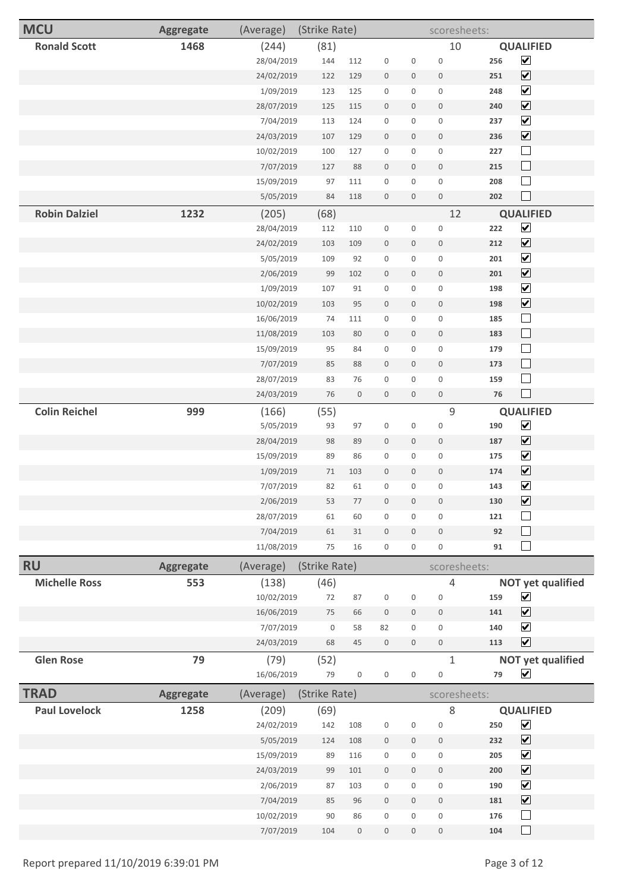| <b>MCU</b>           | <b>Aggregate</b> | (Average)  | (Strike Rate) |                  |                  |                     | scoresheets:     |     |                              |
|----------------------|------------------|------------|---------------|------------------|------------------|---------------------|------------------|-----|------------------------------|
| <b>Ronald Scott</b>  | 1468             | (244)      | (81)          |                  |                  |                     | 10               |     | <b>QUALIFIED</b>             |
|                      |                  | 28/04/2019 | 144           | 112              | $\boldsymbol{0}$ | $\boldsymbol{0}$    | $\boldsymbol{0}$ | 256 | $\blacktriangledown$         |
|                      |                  | 24/02/2019 | 122           | 129              | $\boldsymbol{0}$ | $\mathbf 0$         | $\mathbf 0$      | 251 | $\boxed{\blacktriangledown}$ |
|                      |                  | 1/09/2019  | 123           | 125              | $\boldsymbol{0}$ | $\mathbf 0$         | $\mathbf 0$      | 248 | $\overline{\mathbf{v}}$      |
|                      |                  | 28/07/2019 | 125           | 115              | $\boldsymbol{0}$ | $\mathbf 0$         | $\boldsymbol{0}$ | 240 | $\boxed{\blacktriangledown}$ |
|                      |                  | 7/04/2019  | 113           | 124              | $\boldsymbol{0}$ | $\mathbf 0$         | $\boldsymbol{0}$ | 237 | $\boxed{\blacktriangledown}$ |
|                      |                  | 24/03/2019 | 107           | 129              | $\boldsymbol{0}$ | $\mathsf{O}\xspace$ | $\boldsymbol{0}$ | 236 | $\boxed{\blacktriangledown}$ |
|                      |                  | 10/02/2019 | 100           | 127              | $\boldsymbol{0}$ | $\boldsymbol{0}$    | $\bf 0$          | 227 | $\Box$                       |
|                      |                  | 7/07/2019  | 127           | 88               | $\boldsymbol{0}$ | $\mathbf 0$         | $\boldsymbol{0}$ | 215 | $\Box$                       |
|                      |                  | 15/09/2019 | 97            | 111              | $\boldsymbol{0}$ | $\mathbf 0$         | $\boldsymbol{0}$ | 208 | $\Box$                       |
|                      |                  | 5/05/2019  | 84            | 118              | $\boldsymbol{0}$ | $\mathsf{O}\xspace$ | $\mathbb O$      | 202 | $\Box$                       |
| <b>Robin Dalziel</b> | 1232             | (205)      | (68)          |                  |                  |                     | 12               |     | <b>QUALIFIED</b>             |
|                      |                  | 28/04/2019 | 112           | 110              | $\boldsymbol{0}$ | $\boldsymbol{0}$    | $\boldsymbol{0}$ | 222 | $\overline{\mathbf{v}}$      |
|                      |                  | 24/02/2019 | 103           | 109              | $\boldsymbol{0}$ | $\mathbf 0$         | $\boldsymbol{0}$ | 212 | $\boxed{\blacktriangledown}$ |
|                      |                  | 5/05/2019  | 109           | 92               | $\boldsymbol{0}$ | 0                   | $\boldsymbol{0}$ | 201 | $\blacktriangledown$         |
|                      |                  | 2/06/2019  | 99            | 102              | $\boldsymbol{0}$ | $\mathbf 0$         | $\boldsymbol{0}$ | 201 | $\boxed{\blacktriangledown}$ |
|                      |                  | 1/09/2019  | 107           | 91               | $\boldsymbol{0}$ | $\boldsymbol{0}$    | $\boldsymbol{0}$ | 198 | $\blacktriangledown$         |
|                      |                  | 10/02/2019 | 103           | 95               | $\boldsymbol{0}$ | $\mathbf 0$         | $\mathbf 0$      | 198 | $\boxed{\blacktriangledown}$ |
|                      |                  | 16/06/2019 | 74            | 111              | $\boldsymbol{0}$ | $\mathbf 0$         | $\boldsymbol{0}$ | 185 | $\Box$                       |
|                      |                  | 11/08/2019 | 103           | 80               | $\boldsymbol{0}$ | $\mathbf 0$         | $\boldsymbol{0}$ | 183 | $\Box$                       |
|                      |                  | 15/09/2019 | 95            | 84               | $\boldsymbol{0}$ | $\boldsymbol{0}$    | $\boldsymbol{0}$ | 179 | $\Box$                       |
|                      |                  | 7/07/2019  | 85            | 88               | $\boldsymbol{0}$ | $\mathbf 0$         | $\boldsymbol{0}$ | 173 | $\Box$                       |
|                      |                  | 28/07/2019 | 83            | 76               | $\boldsymbol{0}$ | 0                   | $\boldsymbol{0}$ | 159 | $\Box$                       |
|                      |                  | 24/03/2019 | $76\,$        | $\boldsymbol{0}$ | $\boldsymbol{0}$ | $\mathbf 0$         | $\boldsymbol{0}$ | 76  | $\Box$                       |
| <b>Colin Reichel</b> | 999              | (166)      | (55)          |                  |                  |                     | $\mathsf 9$      |     | <b>QUALIFIED</b>             |
|                      |                  | 5/05/2019  | 93            | 97               | $\boldsymbol{0}$ | $\boldsymbol{0}$    | $\boldsymbol{0}$ | 190 | $\overline{\mathbf{v}}$      |
|                      |                  | 28/04/2019 | 98            | 89               | $\boldsymbol{0}$ | $\mathbf 0$         | $\boldsymbol{0}$ | 187 | $\boxed{\blacktriangledown}$ |
|                      |                  | 15/09/2019 | 89            | 86               | $\boldsymbol{0}$ | $\boldsymbol{0}$    | $\boldsymbol{0}$ | 175 | $\blacktriangledown$         |
|                      |                  | 1/09/2019  | $71\,$        | 103              | $\boldsymbol{0}$ | $\mathbf 0$         | $\,0\,$          | 174 | $\boxed{\mathbf{v}}$         |
|                      |                  | 7/07/2019  | 82            | 61               | $\boldsymbol{0}$ | $\boldsymbol{0}$    | $\boldsymbol{0}$ | 143 | $\blacktriangledown$         |
|                      |                  | 2/06/2019  | 53            | 77               | $\boldsymbol{0}$ | $\boldsymbol{0}$    | $\mathbf 0$      | 130 | $\boxed{\mathbf{v}}$         |
|                      |                  | 28/07/2019 | 61            | 60               | $\boldsymbol{0}$ | $\mathbf{0}$        | $\mathbf 0$      | 121 | $\Box$                       |
|                      |                  | 7/04/2019  | 61            | 31               | $\boldsymbol{0}$ | $\mathbf 0$         | $\mathbf 0$      | 92  | $\Box$                       |
|                      |                  | 11/08/2019 | 75            | 16               | $\boldsymbol{0}$ | 0                   | $\boldsymbol{0}$ | 91  | $\Box$                       |
| <b>RU</b>            | <b>Aggregate</b> | (Average)  | (Strike Rate) |                  |                  |                     | scoresheets:     |     |                              |
| <b>Michelle Ross</b> | 553              | (138)      | (46)          |                  |                  |                     | $\overline{4}$   |     | <b>NOT yet qualified</b>     |
|                      |                  | 10/02/2019 | $72\,$        | 87               | $\boldsymbol{0}$ | $\mathsf{O}\xspace$ | $\boldsymbol{0}$ | 159 | $\blacktriangledown$         |
|                      |                  | 16/06/2019 | 75            | 66               | $\boldsymbol{0}$ | $\mathsf{O}\xspace$ | $\boldsymbol{0}$ | 141 | $\overline{\mathbf{v}}$      |
|                      |                  | 7/07/2019  | $\mathsf 0$   | 58               | 82               | $\mathbf 0$         | $\bf 0$          | 140 | $\overline{\mathbf{v}}$      |
|                      |                  | 24/03/2019 | 68            | $45\,$           | $\boldsymbol{0}$ | $\mathsf{O}\xspace$ | $\boldsymbol{0}$ | 113 | $\overline{\mathbf{v}}$      |
| <b>Glen Rose</b>     | 79               | (79)       | (52)          |                  |                  |                     | $\mathbf{1}$     |     | <b>NOT yet qualified</b>     |
|                      |                  | 16/06/2019 | 79            | $\boldsymbol{0}$ | 0                | $\mathbf 0$         | $\boldsymbol{0}$ | 79  | $\blacktriangledown$         |
| <b>TRAD</b>          | <b>Aggregate</b> | (Average)  | (Strike Rate) |                  |                  |                     | scoresheets:     |     |                              |
| <b>Paul Lovelock</b> | 1258             | (209)      | (69)          |                  |                  |                     | $\,8\,$          |     | <b>QUALIFIED</b>             |
|                      |                  | 24/02/2019 | 142           | 108              | $\boldsymbol{0}$ | 0                   | $\boldsymbol{0}$ | 250 | $\boxed{\mathbf{v}}$         |
|                      |                  | 5/05/2019  | 124           | 108              | $\boldsymbol{0}$ | $\mathsf{O}\xspace$ | $\boldsymbol{0}$ | 232 | $\boxed{\blacktriangledown}$ |
|                      |                  | 15/09/2019 | 89            | 116              | $\boldsymbol{0}$ | $\mathbf 0$         | $\mathbf 0$      | 205 | $\boxed{\blacktriangledown}$ |
|                      |                  | 24/03/2019 | 99            | 101              | $\boldsymbol{0}$ | $\mathbf 0$         | $\boldsymbol{0}$ | 200 | $\boxed{\blacktriangledown}$ |
|                      |                  | 2/06/2019  | 87            | 103              | $\boldsymbol{0}$ | $\mathbf 0$         | $\boldsymbol{0}$ | 190 | $\boxed{\blacktriangledown}$ |
|                      |                  | 7/04/2019  | 85            | 96               | $\boldsymbol{0}$ | $\mathsf{O}\xspace$ | $\boldsymbol{0}$ | 181 | $\boxed{\blacktriangledown}$ |
|                      |                  | 10/02/2019 | 90            | 86               | $\boldsymbol{0}$ | $\mathbf 0$         | $\boldsymbol{0}$ | 176 | $\Box$                       |
|                      |                  | 7/07/2019  | 104           | $\boldsymbol{0}$ | $\mathbf 0$      | $\mathbf 0$         | $\mathbf 0$      | 104 |                              |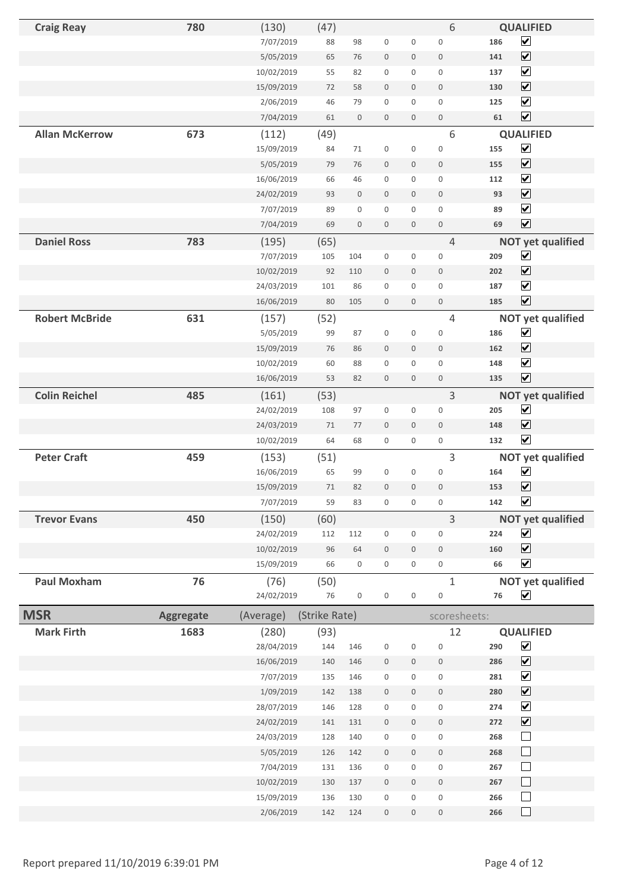| <b>Craig Reay</b>     | 780              | (130)              | (47)          |                     |                            |                  | 6                          |            | <b>QUALIFIED</b>                                   |
|-----------------------|------------------|--------------------|---------------|---------------------|----------------------------|------------------|----------------------------|------------|----------------------------------------------------|
|                       |                  | 7/07/2019          | 88            | 98                  | $\mathbf 0$                | $\mathbf 0$      | $\mathbf 0$                | 186        | $\boxed{\blacktriangledown}$                       |
|                       |                  | 5/05/2019          | 65            | 76                  | $\mathbf 0$                | $\boldsymbol{0}$ | $\boldsymbol{0}$           | 141        | $\boxed{\blacktriangledown}$                       |
|                       |                  | 10/02/2019         | 55            | 82                  | $\boldsymbol{0}$           | 0                | $\mathbf 0$                | 137        | $\overline{\mathbf{v}}$                            |
|                       |                  | 15/09/2019         | 72            | 58                  | $\mathbb O$                | $\mathbf 0$      | $\mathbf 0$                | 130        | $\boxed{\blacktriangledown}$                       |
|                       |                  | 2/06/2019          | 46            | 79                  | $\mathbf{0}$               | $\mathbf 0$      | $\mathbf{0}$               | 125        | $\boxed{\blacktriangledown}$                       |
|                       |                  | 7/04/2019          | 61            | $\mathsf{O}\xspace$ | $\mathbf 0$                | $\boldsymbol{0}$ | $\mathbf 0$                | 61         | $\boxed{\blacktriangledown}$                       |
| <b>Allan McKerrow</b> | 673              | (112)              | (49)          |                     |                            |                  | 6                          |            | <b>QUALIFIED</b>                                   |
|                       |                  | 15/09/2019         | 84            | 71                  | $\boldsymbol{0}$           | 0                | $\boldsymbol{0}$           | 155        | $\blacktriangledown$                               |
|                       |                  | 5/05/2019          | 79            | 76                  | $\mathbf 0$                | 0                | $\mathbf 0$                | 155        | $\boxed{\blacktriangledown}$                       |
|                       |                  | 16/06/2019         | 66            | 46                  | $\mathbf 0$                | $\mathbf 0$      | $\mathbf{0}$               | 112        | $\overline{\mathbf{v}}$                            |
|                       |                  | 24/02/2019         | 93            | $\boldsymbol{0}$    | $\mathbf 0$                | $\mathbf 0$      | $\mathbf 0$                | 93         | $\boxed{\blacktriangledown}$                       |
|                       |                  | 7/07/2019          | 89            | $\mathbf 0$         | $\mathbf 0$                | 0                | $\mathbf 0$                | 89         | $\blacktriangledown$                               |
|                       |                  | 7/04/2019          | 69            | $\mathbf 0$         | $\mathbf 0$                | $\mathbf 0$      | $\boldsymbol{0}$           | 69         | $\overline{\mathbf{v}}$                            |
| <b>Daniel Ross</b>    | 783              | (195)              | (65)          |                     |                            |                  | $\overline{4}$             |            | <b>NOT yet qualified</b>                           |
|                       |                  | 7/07/2019          | 105           | 104                 | $\mathbf 0$                | 0                | $\mathbf 0$                | 209        | $\blacktriangledown$                               |
|                       |                  | 10/02/2019         | 92            | 110                 | $\boldsymbol{0}$           | $\boldsymbol{0}$ | $\mathbf 0$                | 202        | $\boxed{\blacktriangledown}$                       |
|                       |                  | 24/03/2019         | 101           | 86                  | $\mathbf 0$                | 0                | $\mathbf 0$                | 187        | $\overline{\mathbf{v}}$                            |
|                       |                  | 16/06/2019         | 80            | 105                 | $\mathbf 0$                | $\mathbf 0$      | $\mathbf 0$                | 185        | $\overline{\mathbf{v}}$                            |
| <b>Robert McBride</b> | 631              |                    |               |                     |                            |                  | $\overline{4}$             |            |                                                    |
|                       |                  | (157)<br>5/05/2019 | (52)<br>99    | 87                  | $\boldsymbol{0}$           | 0                | $\boldsymbol{0}$           | 186        | <b>NOT yet qualified</b><br>$\blacktriangledown$   |
|                       |                  |                    |               |                     |                            |                  |                            |            | $\boxed{\blacktriangledown}$                       |
|                       |                  | 15/09/2019         | 76<br>60      | 86<br>88            | $\boldsymbol{0}$           | $\boldsymbol{0}$ | $\boldsymbol{0}$           | 162        | $\blacktriangledown$                               |
|                       |                  | 10/02/2019         | 53            | 82                  | $\mathbf 0$<br>$\mathbf 0$ | 0<br>$\mathbf 0$ | $\mathbf 0$<br>$\mathbf 0$ | 148<br>135 | $\boxed{\blacktriangledown}$                       |
|                       |                  | 16/06/2019         |               |                     |                            |                  |                            |            |                                                    |
| <b>Colin Reichel</b>  | 485              | (161)              | (53)          |                     |                            |                  | 3                          |            | <b>NOT yet qualified</b>                           |
|                       |                  | 24/02/2019         | 108           | 97                  | $\boldsymbol{0}$           | 0                | $\mathbf 0$                | 205        | $\blacktriangledown$                               |
|                       |                  | 24/03/2019         | 71            | 77                  | $\boldsymbol{0}$           | $\boldsymbol{0}$ | $\mathbf 0$                | 148        | $\overline{\mathbf{v}}$<br>$\overline{\mathbf{v}}$ |
|                       |                  | 10/02/2019         | 64            | 68                  | $\mathbf 0$                | 0                | $\mathsf{O}\xspace$        | 132        |                                                    |
| <b>Peter Craft</b>    | 459              | (153)              | (51)          |                     |                            |                  | 3                          |            | <b>NOT yet qualified</b>                           |
|                       |                  | 16/06/2019         | 65            | 99                  | $\boldsymbol{0}$           | 0                | $\mathbf 0$                | 164        | $\blacktriangledown$                               |
|                       |                  | 15/09/2019         | 71            | 82                  | $\mathbf 0$                | $\mathbf 0$      | $\mathbf 0$                | 153        | $\overline{\mathbf{v}}$                            |
|                       |                  | 7/07/2019          | 59            | 83                  | $\mathbf 0$                | 0                | $\mathbf 0$                | 142        | $\overline{\mathbf{v}}$                            |
| <b>Trevor Evans</b>   | 450              | (150)              | (60)          |                     |                            |                  | 3                          |            | <b>NOT yet qualified</b>                           |
|                       |                  | 24/02/2019         | 112           | 112                 | $\boldsymbol{0}$           | 0                | 0                          | 224        | $\blacktriangledown$                               |
|                       |                  | 10/02/2019         | 96            | 64                  | $\mathbf 0$                | $\mathbf 0$      | $\mathbf 0$                | 160        | $\boxed{\blacktriangledown}$                       |
|                       |                  | 15/09/2019         | 66            | 0                   | $\boldsymbol{0}$           | 0                | $\mathsf{O}\xspace$        | 66         | $\overline{\mathbf{v}}$                            |
| <b>Paul Moxham</b>    | 76               | (76)               | (50)          |                     |                            |                  | $\mathbf 1$                |            | <b>NOT yet qualified</b>                           |
|                       |                  | 24/02/2019         | $76\,$        | $\boldsymbol{0}$    | $\boldsymbol{0}$           | $\mathbf 0$      | 0                          | ${\bf 76}$ | ☑                                                  |
| <b>MSR</b>            | <b>Aggregate</b> | (Average)          | (Strike Rate) |                     |                            |                  | scoresheets:               |            |                                                    |
| <b>Mark Firth</b>     | 1683             | (280)              | (93)          |                     |                            |                  | 12                         |            | <b>QUALIFIED</b>                                   |
|                       |                  | 28/04/2019         | 144           | 146                 | $\boldsymbol{0}$           | 0                | $\boldsymbol{0}$           | 290        | $\boxed{\blacktriangledown}$                       |
|                       |                  | 16/06/2019         | 140           | 146                 | $\,0\,$                    | $\boldsymbol{0}$ | $\boldsymbol{0}$           | 286        | $\boxed{\blacktriangledown}$                       |
|                       |                  | 7/07/2019          | 135           | 146                 | $\boldsymbol{0}$           | 0                | $\mathsf{O}\xspace$        | 281        | $\blacktriangledown$                               |
|                       |                  | 1/09/2019          | 142           | 138                 | $\boldsymbol{0}$           | 0                | $\boldsymbol{0}$           | 280        | $\boxed{\mathbf{v}}$                               |
|                       |                  | 28/07/2019         | 146           | 128                 | $\boldsymbol{0}$           | 0                | $\boldsymbol{0}$           | 274        | $\boxed{\blacktriangledown}$                       |
|                       |                  | 24/02/2019         | 141           | 131                 | $\boldsymbol{0}$           | $\boldsymbol{0}$ | $\mathsf{O}$               | 272        | $\boxed{\blacktriangledown}$                       |
|                       |                  | 24/03/2019         | 128           | 140                 | $\boldsymbol{0}$           | 0                | $\boldsymbol{0}$           | 268        | $\Box$                                             |
|                       |                  | 5/05/2019          | 126           | 142                 | $\mathbf 0$                | $\mathbf 0$      | $\mathbb O$                | 268        | $\Box$                                             |
|                       |                  | 7/04/2019          | 131           | 136                 | $\boldsymbol{0}$           | 0                | $\mathsf{O}\xspace$        | 267        | $\Box$                                             |
|                       |                  | 10/02/2019         | 130           | 137                 | $\boldsymbol{0}$           | $\boldsymbol{0}$ | $\boldsymbol{0}$           | 267        | $\Box$                                             |
|                       |                  | 15/09/2019         | 136           | 130                 | $\boldsymbol{0}$           | $\mathbf 0$      | $\mathbf 0$                | 266        | $\Box$                                             |
|                       |                  | 2/06/2019          | 142           | 124                 | $\boldsymbol{0}$           | 0                | $\boldsymbol{0}$           | 266        | $\Box$                                             |
|                       |                  |                    |               |                     |                            |                  |                            |            |                                                    |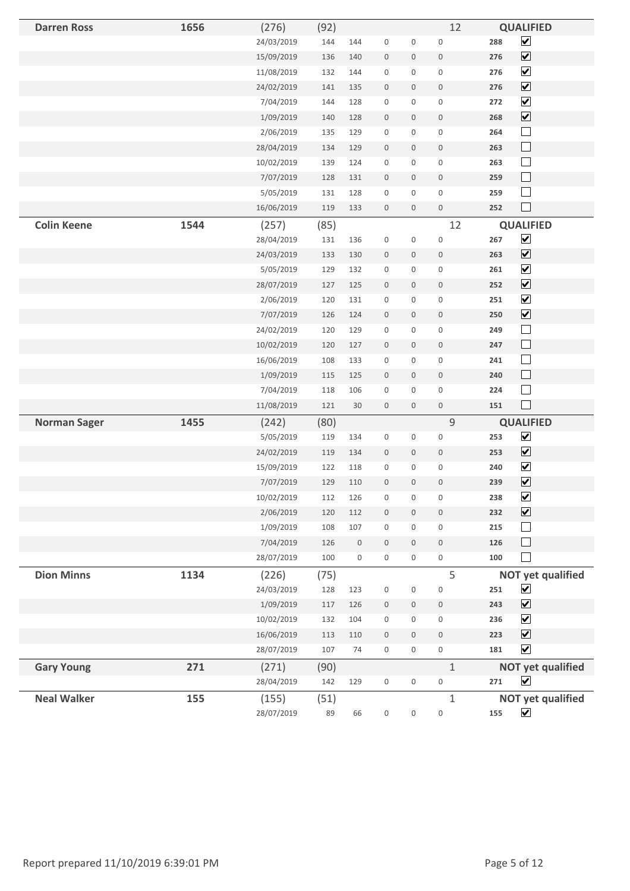| <b>Darren Ross</b>  | 1656 | (276)      | (92) |                  |                     |                     | 12               | <b>QUALIFIED</b>                    |
|---------------------|------|------------|------|------------------|---------------------|---------------------|------------------|-------------------------------------|
|                     |      | 24/03/2019 | 144  | 144              | $\boldsymbol{0}$    | $\boldsymbol{0}$    | $\boldsymbol{0}$ | $\overline{\mathbf{v}}$<br>288      |
|                     |      | 15/09/2019 | 136  | 140              | $\boldsymbol{0}$    | $\boldsymbol{0}$    | $\boldsymbol{0}$ | $\boxed{\blacktriangledown}$<br>276 |
|                     |      | 11/08/2019 | 132  | 144              | $\boldsymbol{0}$    | $\mathsf{O}\xspace$ | $\boldsymbol{0}$ | $\blacktriangledown$<br>276         |
|                     |      | 24/02/2019 | 141  | 135              | $\boldsymbol{0}$    | $\boldsymbol{0}$    | $\,0\,$          | $\boxed{\blacktriangledown}$<br>276 |
|                     |      | 7/04/2019  | 144  | 128              | $\boldsymbol{0}$    | $\boldsymbol{0}$    | $\boldsymbol{0}$ | $\boxed{\blacktriangledown}$<br>272 |
|                     |      | 1/09/2019  | 140  | 128              | $\boldsymbol{0}$    | $\boldsymbol{0}$    | $\boldsymbol{0}$ | $\boxed{\blacktriangledown}$<br>268 |
|                     |      | 2/06/2019  | 135  | 129              | $\boldsymbol{0}$    | $\boldsymbol{0}$    | $\boldsymbol{0}$ | $\Box$<br>264                       |
|                     |      | 28/04/2019 | 134  | 129              | $\boldsymbol{0}$    | $\boldsymbol{0}$    | $\boldsymbol{0}$ | $\Box$<br>263                       |
|                     |      | 10/02/2019 | 139  | 124              | $\boldsymbol{0}$    | $\boldsymbol{0}$    | $\boldsymbol{0}$ | $\Box$<br>263                       |
|                     |      | 7/07/2019  | 128  | 131              | $\boldsymbol{0}$    | $\boldsymbol{0}$    | $\,0\,$          | $\Box$<br>259                       |
|                     |      | 5/05/2019  | 131  | 128              | $\boldsymbol{0}$    | $\mathbf 0$         | $\boldsymbol{0}$ | $\Box$<br>259                       |
|                     |      | 16/06/2019 | 119  | 133              | $\boldsymbol{0}$    | $\boldsymbol{0}$    | $\,0\,$          | $\Box$<br>252                       |
| <b>Colin Keene</b>  | 1544 | (257)      | (85) |                  |                     |                     | 12               | <b>QUALIFIED</b>                    |
|                     |      | 28/04/2019 | 131  | 136              | $\boldsymbol{0}$    | $\boldsymbol{0}$    | $\boldsymbol{0}$ | $\overline{\mathbf{v}}$<br>267      |
|                     |      | 24/03/2019 | 133  | 130              | $\boldsymbol{0}$    | $\mathbf 0$         | $\boldsymbol{0}$ | $\boxed{\blacktriangledown}$<br>263 |
|                     |      | 5/05/2019  | 129  | 132              | $\boldsymbol{0}$    | 0                   | $\boldsymbol{0}$ | $\blacktriangledown$<br>261         |
|                     |      | 28/07/2019 | 127  | 125              | $\boldsymbol{0}$    | $\boldsymbol{0}$    | $\,0\,$          | $\boxed{\blacktriangledown}$<br>252 |
|                     |      | 2/06/2019  | 120  | 131              | $\boldsymbol{0}$    | $\boldsymbol{0}$    | $\boldsymbol{0}$ | $\blacktriangledown$<br>251         |
|                     |      | 7/07/2019  | 126  | 124              | $\boldsymbol{0}$    | $\mathbf 0$         | $\boldsymbol{0}$ | $\boxed{\blacktriangledown}$<br>250 |
|                     |      | 24/02/2019 | 120  | 129              | $\boldsymbol{0}$    | 0                   | $\boldsymbol{0}$ | $\Box$<br>249                       |
|                     |      | 10/02/2019 | 120  | 127              | $\boldsymbol{0}$    | $\mathbf 0$         | $\boldsymbol{0}$ | $\Box$<br>247                       |
|                     |      | 16/06/2019 | 108  | 133              | $\boldsymbol{0}$    | $\boldsymbol{0}$    | $\boldsymbol{0}$ | $\Box$<br>241                       |
|                     |      | 1/09/2019  | 115  | 125              | $\boldsymbol{0}$    | $\boldsymbol{0}$    | $\boldsymbol{0}$ | $\Box$<br>240                       |
|                     |      | 7/04/2019  | 118  | 106              | $\boldsymbol{0}$    | $\boldsymbol{0}$    | $\boldsymbol{0}$ | $\Box$<br>224                       |
|                     |      | 11/08/2019 | 121  | 30               | $\boldsymbol{0}$    | $\boldsymbol{0}$    | $\boldsymbol{0}$ | $\Box$<br>151                       |
| <b>Norman Sager</b> | 1455 | (242)      | (80) |                  |                     |                     | $\mathsf 9$      | <b>QUALIFIED</b>                    |
|                     |      | 5/05/2019  | 119  | 134              | $\boldsymbol{0}$    | $\boldsymbol{0}$    | $\boldsymbol{0}$ | $\blacktriangledown$<br>253         |
|                     |      | 24/02/2019 | 119  | 134              | $\boldsymbol{0}$    | $\boldsymbol{0}$    | $\boldsymbol{0}$ | $\boxed{\blacktriangledown}$<br>253 |
|                     |      | 15/09/2019 | 122  | 118              | $\boldsymbol{0}$    | $\boldsymbol{0}$    | $\boldsymbol{0}$ | $\overline{\mathbf{v}}$<br>240      |
|                     |      | 7/07/2019  | 129  | 110              | $\boldsymbol{0}$    | $\boldsymbol{0}$    | $\mathbf 0$      | $\boxed{\blacktriangledown}$<br>239 |
|                     |      | 10/02/2019 | 112  | 126              | $\mathsf{O}\xspace$ | $\mathsf{O}\xspace$ | $\boldsymbol{0}$ | $\overline{\mathbf{v}}$<br>238      |
|                     |      | 2/06/2019  | 120  | 112              | $\boldsymbol{0}$    | $\boldsymbol{0}$    | $\boldsymbol{0}$ | $\boxed{\blacktriangledown}$<br>232 |
|                     |      | 1/09/2019  | 108  | 107              | $\boldsymbol{0}$    | $\mathsf{O}\xspace$ | $\boldsymbol{0}$ | 215<br>$\mathsf{L}$                 |
|                     |      | 7/04/2019  | 126  | $\boldsymbol{0}$ | $\boldsymbol{0}$    | $\mathbf 0$         | $\boldsymbol{0}$ | $\Box$<br>126                       |
|                     |      | 28/07/2019 | 100  | $\boldsymbol{0}$ | $\boldsymbol{0}$    | $\boldsymbol{0}$    | $\boldsymbol{0}$ | П<br>100                            |
| <b>Dion Minns</b>   | 1134 | (226)      | (75) |                  |                     |                     | 5                | <b>NOT yet qualified</b>            |
|                     |      | 24/03/2019 | 128  | 123              | $\boldsymbol{0}$    | $\boldsymbol{0}$    | $\boldsymbol{0}$ | $\boxed{\mathbf{v}}$<br>251         |
|                     |      | 1/09/2019  | 117  | 126              | $\boldsymbol{0}$    | $\boldsymbol{0}$    | $\boldsymbol{0}$ | $\boxed{\blacktriangledown}$<br>243 |
|                     |      | 10/02/2019 | 132  | 104              | $\boldsymbol{0}$    | $\mathsf 0$         | $\boldsymbol{0}$ | $\blacktriangledown$<br>236         |
|                     |      | 16/06/2019 | 113  | 110              | $\boldsymbol{0}$    | $\boldsymbol{0}$    | $\boldsymbol{0}$ | $\boxed{\mathbf{v}}$<br>223         |
|                     |      | 28/07/2019 | 107  | 74               | 0                   | 0                   | $\boldsymbol{0}$ | $\blacktriangledown$<br>181         |
| <b>Gary Young</b>   | 271  | (271)      | (90) |                  |                     |                     | $\mathbf{1}$     | <b>NOT yet qualified</b>            |
|                     |      | 28/04/2019 | 142  | 129              | $\boldsymbol{0}$    | $\boldsymbol{0}$    | $\boldsymbol{0}$ | ☑<br>271                            |
| <b>Neal Walker</b>  | 155  | (155)      | (51) |                  |                     |                     | $\mathbf{1}$     | <b>NOT yet qualified</b>            |
|                     |      | 28/07/2019 | 89   | 66               | $\boldsymbol{0}$    | $\boldsymbol{0}$    | $\boldsymbol{0}$ | $\blacktriangledown$<br>155         |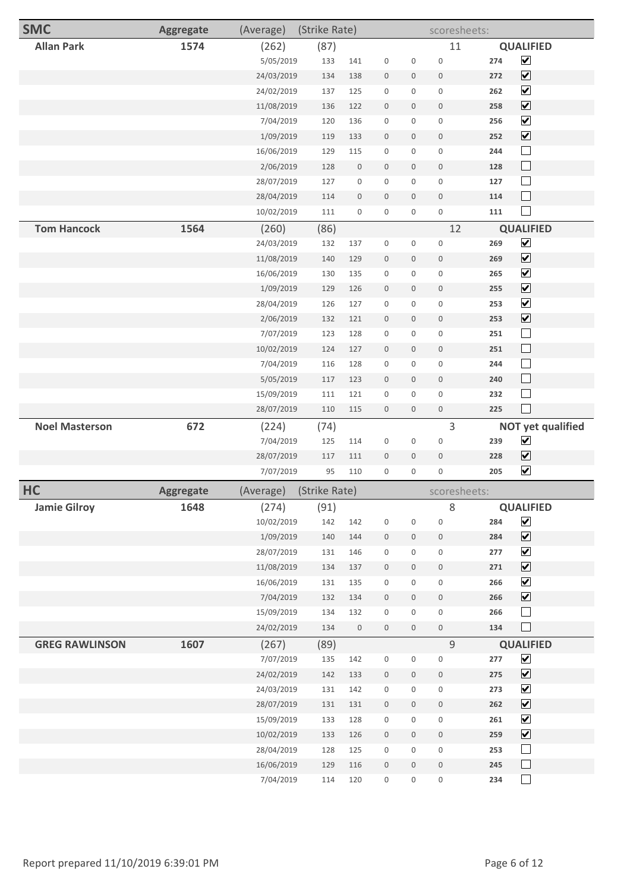| <b>SMC</b>            | <b>Aggregate</b> | (Average)  | (Strike Rate) |                  |                     |                  | scoresheets:        |     |                              |
|-----------------------|------------------|------------|---------------|------------------|---------------------|------------------|---------------------|-----|------------------------------|
| <b>Allan Park</b>     | 1574             | (262)      | (87)          |                  |                     |                  | 11                  |     | <b>QUALIFIED</b>             |
|                       |                  | 5/05/2019  | 133           | 141              | $\boldsymbol{0}$    | 0                | $\boldsymbol{0}$    | 274 | $\overline{\mathbf{v}}$      |
|                       |                  | 24/03/2019 | 134           | 138              | $\mathbf 0$         | $\boldsymbol{0}$ | $\mathbf 0$         | 272 | $\boxed{\blacktriangledown}$ |
|                       |                  | 24/02/2019 | 137           | 125              | $\boldsymbol{0}$    | 0                | $\boldsymbol{0}$    | 262 | $\blacktriangledown$         |
|                       |                  | 11/08/2019 | 136           | 122              | $\bf 0$             | $\boldsymbol{0}$ | $\bf 0$             | 258 | $\boxed{\blacktriangledown}$ |
|                       |                  | 7/04/2019  | 120           | 136              | $\boldsymbol{0}$    | 0                | $\boldsymbol{0}$    | 256 | $\boxed{\blacktriangledown}$ |
|                       |                  | 1/09/2019  | 119           | 133              | $\theta$            | $\boldsymbol{0}$ | $\boldsymbol{0}$    | 252 | $\boxed{\mathbf{v}}$         |
|                       |                  | 16/06/2019 | 129           | 115              | $\boldsymbol{0}$    | 0                | $\boldsymbol{0}$    | 244 | $\Box$                       |
|                       |                  | 2/06/2019  | 128           | $\boldsymbol{0}$ | $\theta$            | 0                | $\boldsymbol{0}$    | 128 | $\Box$                       |
|                       |                  | 28/07/2019 | 127           | $\boldsymbol{0}$ | $\boldsymbol{0}$    | 0                | $\mathbf 0$         | 127 | $\sqcup$                     |
|                       |                  | 28/04/2019 | 114           | $\boldsymbol{0}$ | $\boldsymbol{0}$    | $\mathbf 0$      | $\mathbf 0$         | 114 | $\Box$                       |
|                       |                  | 10/02/2019 | 111           | 0                | $\boldsymbol{0}$    | 0                | $\boldsymbol{0}$    | 111 |                              |
| <b>Tom Hancock</b>    | 1564             | (260)      | (86)          |                  |                     |                  | 12                  |     | <b>QUALIFIED</b>             |
|                       |                  | 24/03/2019 | 132           | 137              | $\boldsymbol{0}$    | 0                | $\boldsymbol{0}$    | 269 | $\blacktriangledown$         |
|                       |                  | 11/08/2019 | 140           | 129              | $\bf 0$             | $\boldsymbol{0}$ | $\bf 0$             | 269 | $\boxed{\blacktriangledown}$ |
|                       |                  | 16/06/2019 | 130           | 135              | $\boldsymbol{0}$    | 0                | $\boldsymbol{0}$    | 265 | $\boxed{\blacktriangledown}$ |
|                       |                  | 1/09/2019  | 129           | 126              | $\theta$            | $\boldsymbol{0}$ | $\boldsymbol{0}$    | 255 | ☑                            |
|                       |                  | 28/04/2019 | 126           | 127              | $\boldsymbol{0}$    | 0                | $\boldsymbol{0}$    | 253 | $\overline{\mathbf{v}}$      |
|                       |                  | 2/06/2019  | 132           | 121              | $\theta$            | 0                | $\overline{0}$      | 253 | $\boxed{\mathbf{v}}$         |
|                       |                  | 7/07/2019  | 123           | 128              | $\boldsymbol{0}$    | 0                | $\boldsymbol{0}$    | 251 | $\Box$                       |
|                       |                  | 10/02/2019 | 124           | 127              | $\mathbb O$         | $\mathbf 0$      | $\mathbf 0$         | 251 | $\Box$                       |
|                       |                  | 7/04/2019  | 116           | 128              | $\boldsymbol{0}$    | 0                | $\boldsymbol{0}$    | 244 | $\Box$                       |
|                       |                  | 5/05/2019  | 117           | 123              | $\bf 0$             | $\boldsymbol{0}$ | $\bf 0$             | 240 | $\Box$                       |
|                       |                  | 15/09/2019 | 111           | 121              | $\boldsymbol{0}$    | 0                | $\boldsymbol{0}$    | 232 | $\mathcal{L}$                |
|                       |                  | 28/07/2019 | 110           | 115              | $\mathbf 0$         | 0                | $\,0\,$             | 225 |                              |
| <b>Noel Masterson</b> | 672              | (224)      | (74)          |                  |                     |                  | 3                   |     | <b>NOT yet qualified</b>     |
|                       |                  | 7/04/2019  | 125           | 114              | $\boldsymbol{0}$    | 0                | $\boldsymbol{0}$    | 239 | $\blacktriangledown$         |
|                       |                  | 28/07/2019 | 117           | 111              | $\boldsymbol{0}$    | 0                | $\overline{0}$      | 228 | $\triangledown$              |
|                       |                  | 7/07/2019  | 95            | 110              | $\boldsymbol{0}$    | 0                | $\boldsymbol{0}$    | 205 | $\boxed{\mathbf{v}}$         |
| <b>HC</b>             | <b>Aggregate</b> | (Average)  | (Strike Rate) |                  |                     |                  | scoresheets:        |     |                              |
| <b>Jamie Gilroy</b>   | 1648             | (274)      | (91)          |                  |                     |                  | $\,8\,$             |     | <b>QUALIFIED</b>             |
|                       |                  | 10/02/2019 | 142           | 142              | $\boldsymbol{0}$    | 0                | $\mathbf 0$         | 284 | $\blacktriangledown$         |
|                       |                  | 1/09/2019  | 140           | 144              | $\,0\,$             | 0                | $\boldsymbol{0}$    | 284 | $\boxed{\blacktriangledown}$ |
|                       |                  | 28/07/2019 | 131           | 146              | $\mathsf{O}\xspace$ | 0                | $\mathsf{O}\xspace$ | 277 | $\boxed{\blacktriangledown}$ |
|                       |                  | 11/08/2019 | 134           | 137              | $\boldsymbol{0}$    | 0                | $\mathbf 0$         | 271 | $\triangledown$              |
|                       |                  | 16/06/2019 | 131           | 135              | $\boldsymbol{0}$    | 0                | $\boldsymbol{0}$    | 266 | $\boxed{\blacktriangledown}$ |
|                       |                  | 7/04/2019  | 132           | 134              | $\mathbf 0$         | 0                | $\mathbf 0$         | 266 | $\boxed{\blacktriangledown}$ |
|                       |                  | 15/09/2019 | 134           | 132              | $\boldsymbol{0}$    | 0                | $\boldsymbol{0}$    | 266 | $\Box$                       |
|                       |                  | 24/02/2019 | 134           | $\boldsymbol{0}$ | $\mathbb O$         | $\mathbf 0$      | $\mathbb O$         | 134 | П                            |
| <b>GREG RAWLINSON</b> | 1607             | (267)      | (89)          |                  |                     |                  | $\mathsf 9$         |     | <b>QUALIFIED</b>             |
|                       |                  | 7/07/2019  | 135           | 142              | $\boldsymbol{0}$    | 0                | $\boldsymbol{0}$    | 277 | $\triangledown$              |
|                       |                  | 24/02/2019 | 142           | 133              | $\boldsymbol{0}$    | $\boldsymbol{0}$ | $\boldsymbol{0}$    | 275 | $\boxed{\blacktriangledown}$ |
|                       |                  | 24/03/2019 | 131           | 142              | $\boldsymbol{0}$    | 0                | $\boldsymbol{0}$    | 273 | $\blacktriangledown$         |
|                       |                  | 28/07/2019 | 131           | 131              | $\mathsf{O}$        | $\boldsymbol{0}$ | $\mathsf{O}$        | 262 | $\boxed{\blacktriangledown}$ |
|                       |                  | 15/09/2019 | 133           | 128              | $\boldsymbol{0}$    | 0                | $\,0\,$             | 261 | $\boxed{\blacktriangledown}$ |
|                       |                  | 10/02/2019 | 133           | 126              | $\,0\,$             | $\boldsymbol{0}$ | $\mathsf{O}$        | 259 | $\boxed{\blacktriangledown}$ |
|                       |                  | 28/04/2019 | 128           | 125              | $\,0\,$             | 0                | $\mathbf 0$         | 253 | $\Box$                       |
|                       |                  | 16/06/2019 | 129           | 116              | $\boldsymbol{0}$    | $\boldsymbol{0}$ | $\mathsf{O}$        | 245 | $\Box$                       |
|                       |                  | 7/04/2019  | 114           | 120              | $\boldsymbol{0}$    | 0                | $\boldsymbol{0}$    | 234 | $\Box$                       |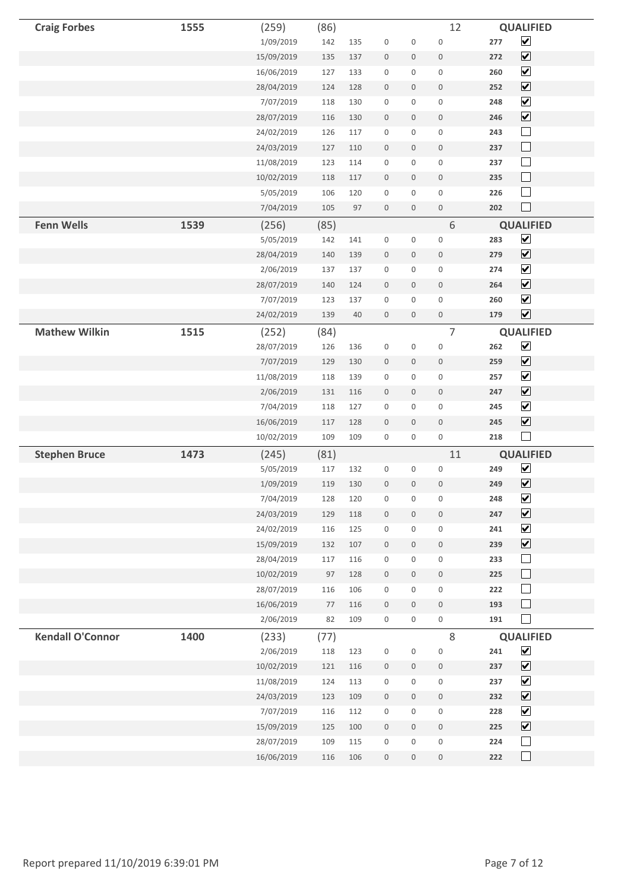| <b>Craig Forbes</b>     | 1555 | (259)      | (86)    |     |                  |                     | 12                  |     | <b>QUALIFIED</b>             |  |
|-------------------------|------|------------|---------|-----|------------------|---------------------|---------------------|-----|------------------------------|--|
|                         |      | 1/09/2019  | 142     | 135 | $\boldsymbol{0}$ | $\boldsymbol{0}$    | $\mathbf 0$         | 277 | $\boxed{\blacktriangledown}$ |  |
|                         |      | 15/09/2019 | 135     | 137 | $\boldsymbol{0}$ | $\mathsf{O}\xspace$ | $\boldsymbol{0}$    | 272 | $\boxed{\blacktriangledown}$ |  |
|                         |      | 16/06/2019 | 127     | 133 | $\boldsymbol{0}$ | 0                   | $\boldsymbol{0}$    | 260 | $\blacktriangledown$         |  |
|                         |      | 28/04/2019 | 124     | 128 | $\boldsymbol{0}$ | $\mathbf 0$         | $\boldsymbol{0}$    | 252 | $\boxed{\blacktriangledown}$ |  |
|                         |      | 7/07/2019  | 118     | 130 | $\boldsymbol{0}$ | $\mathbf 0$         | $\mathbf 0$         | 248 | $\boxed{\blacktriangledown}$ |  |
|                         |      | 28/07/2019 | 116     | 130 | $\boldsymbol{0}$ | $\mathsf{O}\xspace$ | $\mathbf 0$         | 246 | $\boxed{\blacktriangledown}$ |  |
|                         |      | 24/02/2019 | 126     | 117 | $\boldsymbol{0}$ | 0                   | $\boldsymbol{0}$    | 243 | $\Box$                       |  |
|                         |      | 24/03/2019 | 127     | 110 | $\boldsymbol{0}$ | $\mathbf 0$         | $\boldsymbol{0}$    | 237 | $\Box$                       |  |
|                         |      | 11/08/2019 | 123     | 114 | $\boldsymbol{0}$ | $\boldsymbol{0}$    | $\mathbf 0$         | 237 | $\Box$                       |  |
|                         |      | 10/02/2019 | 118     | 117 | $\boldsymbol{0}$ | $\mathbf 0$         | $\boldsymbol{0}$    | 235 | $\Box$                       |  |
|                         |      | 5/05/2019  | 106     | 120 | $\boldsymbol{0}$ | $\mathbf 0$         | $\boldsymbol{0}$    | 226 | $\Box$                       |  |
|                         |      | 7/04/2019  | 105     | 97  | $\boldsymbol{0}$ | $\mathsf{O}\xspace$ | $\,0\,$             | 202 | $\overline{\phantom{a}}$     |  |
| <b>Fenn Wells</b>       | 1539 | (256)      | (85)    |     |                  |                     | 6                   |     | <b>QUALIFIED</b>             |  |
|                         |      | 5/05/2019  | 142     | 141 | $\boldsymbol{0}$ | 0                   | $\boldsymbol{0}$    | 283 | $\blacktriangledown$         |  |
|                         |      | 28/04/2019 | 140     | 139 | $\boldsymbol{0}$ | $\mathsf{O}\xspace$ | $\boldsymbol{0}$    | 279 | $\boxed{\blacktriangledown}$ |  |
|                         |      | 2/06/2019  | 137     | 137 | $\boldsymbol{0}$ | $\boldsymbol{0}$    | $\mathbf 0$         | 274 | $\overline{\mathbf{v}}$      |  |
|                         |      | 28/07/2019 | 140     | 124 | $\boldsymbol{0}$ | $\mathsf{O}\xspace$ | $\boldsymbol{0}$    | 264 | $\boxed{\blacktriangledown}$ |  |
|                         |      | 7/07/2019  | 123     | 137 | $\boldsymbol{0}$ | $\mathbf 0$         | $\boldsymbol{0}$    | 260 | $\blacktriangledown$         |  |
|                         |      | 24/02/2019 | 139     | 40  | $\boldsymbol{0}$ | $\mathbf 0$         | $\boldsymbol{0}$    | 179 | $\boxed{\blacktriangledown}$ |  |
| <b>Mathew Wilkin</b>    | 1515 | (252)      | (84)    |     |                  |                     | $\overline{7}$      |     | <b>QUALIFIED</b>             |  |
|                         |      | 28/07/2019 | 126     | 136 | $\boldsymbol{0}$ | $\boldsymbol{0}$    | $\boldsymbol{0}$    | 262 | $\boxed{\blacktriangledown}$ |  |
|                         |      | 7/07/2019  | 129     | 130 | $\boldsymbol{0}$ | $\mathsf{O}\xspace$ | $\boldsymbol{0}$    | 259 | $\boxed{\blacktriangledown}$ |  |
|                         |      | 11/08/2019 | 118     | 139 | $\,0\,$          | 0                   | $\boldsymbol{0}$    | 257 | $\blacktriangledown$         |  |
|                         |      | 2/06/2019  | 131     | 116 | $\boldsymbol{0}$ | $\mathbf 0$         | $\boldsymbol{0}$    | 247 | $\boxed{\blacktriangledown}$ |  |
|                         |      | 7/04/2019  | 118     | 127 | $\boldsymbol{0}$ | $\boldsymbol{0}$    | $\boldsymbol{0}$    | 245 | $\blacktriangledown$         |  |
|                         |      | 16/06/2019 | 117     | 128 | $\boldsymbol{0}$ | $\mathbf 0$         | $\boldsymbol{0}$    | 245 | $\boxed{\blacktriangledown}$ |  |
|                         |      | 10/02/2019 | 109     | 109 | $\boldsymbol{0}$ | 0                   | $\boldsymbol{0}$    | 218 | $\Box$                       |  |
| <b>Stephen Bruce</b>    | 1473 | (245)      | (81)    |     |                  |                     | 11                  |     | <b>QUALIFIED</b>             |  |
|                         |      | 5/05/2019  | 117     | 132 | $\boldsymbol{0}$ | 0                   | $\boldsymbol{0}$    | 249 | $\blacktriangledown$         |  |
|                         |      | 1/09/2019  | 119     | 130 | $\boldsymbol{0}$ | $\boldsymbol{0}$    | $\mathbf 0$         | 249 | $\boxed{\blacktriangledown}$ |  |
|                         |      | 7/04/2019  | 128     | 120 | $\boldsymbol{0}$ | $\boldsymbol{0}$    | $\mathbf 0$         | 248 | $\blacktriangledown$         |  |
|                         |      | 24/03/2019 | 129     | 118 | $\boldsymbol{0}$ | $\mathsf{O}\xspace$ | $\boldsymbol{0}$    | 247 | $\boxed{\blacktriangledown}$ |  |
|                         |      | 24/02/2019 | 116     | 125 | $\boldsymbol{0}$ | $\mathsf{O}\xspace$ | $\boldsymbol{0}$    | 241 | $\boxed{\blacktriangledown}$ |  |
|                         |      | 15/09/2019 | 132     | 107 | $\,0\,$          | $\mathbf 0$         | $\mathbf 0$         | 239 | $\boxed{\blacktriangledown}$ |  |
|                         |      | 28/04/2019 | 117     | 116 | $\boldsymbol{0}$ | $\mathbf 0$         | $\boldsymbol{0}$    | 233 | $\Box$                       |  |
|                         |      | 10/02/2019 | 97      | 128 | $\,0\,$          | $\mathbf 0$         | $\boldsymbol{0}$    | 225 | $\Box$                       |  |
|                         |      | 28/07/2019 | 116     | 106 | $\boldsymbol{0}$ | $\mathbf 0$         | $\mathsf{O}\xspace$ | 222 | $\Box$                       |  |
|                         |      | 16/06/2019 | $77 \,$ | 116 | $\boldsymbol{0}$ | $\mathbf 0$         | $\mathbf 0$         | 193 | $\Box$                       |  |
|                         |      | 2/06/2019  | 82      | 109 | $\boldsymbol{0}$ | 0                   | $\boldsymbol{0}$    | 191 | $\Box$                       |  |
| <b>Kendall O'Connor</b> | 1400 | (233)      | (77)    |     |                  |                     | $\,8\,$             |     | <b>QUALIFIED</b>             |  |
|                         |      | 2/06/2019  | 118     | 123 | $\boldsymbol{0}$ | $\boldsymbol{0}$    | $\boldsymbol{0}$    | 241 | $\boxed{\blacktriangledown}$ |  |
|                         |      | 10/02/2019 | 121     | 116 | $\boldsymbol{0}$ | $\mathbf 0$         | $\,0\,$             | 237 | $\boxed{\mathbf{v}}$         |  |
|                         |      | 11/08/2019 | 124     | 113 | $\,0\,$          | 0                   | $\boldsymbol{0}$    | 237 | $\boxed{\mathbf{v}}$         |  |
|                         |      | 24/03/2019 | 123     | 109 | $\,0\,$          | $\mathbf 0$         | $\mathbf 0$         | 232 | $\boxed{\blacktriangledown}$ |  |
|                         |      | 7/07/2019  | 116     | 112 | $\boldsymbol{0}$ | $\mathbf 0$         | $\boldsymbol{0}$    | 228 | $\blacktriangledown$         |  |
|                         |      | 15/09/2019 | 125     | 100 | $\,0\,$          | $\mathbf 0$         | $\mathbf 0$         | 225 | $\boxed{\mathbf{v}}$         |  |
|                         |      | 28/07/2019 | 109     | 115 | $\boldsymbol{0}$ | $\mathbf 0$         | $\mathsf{O}\xspace$ | 224 | $\Box$                       |  |
|                         |      | 16/06/2019 | 116     | 106 | $\boldsymbol{0}$ | $\mathbf 0$         | $\boldsymbol{0}$    | 222 | $\Box$                       |  |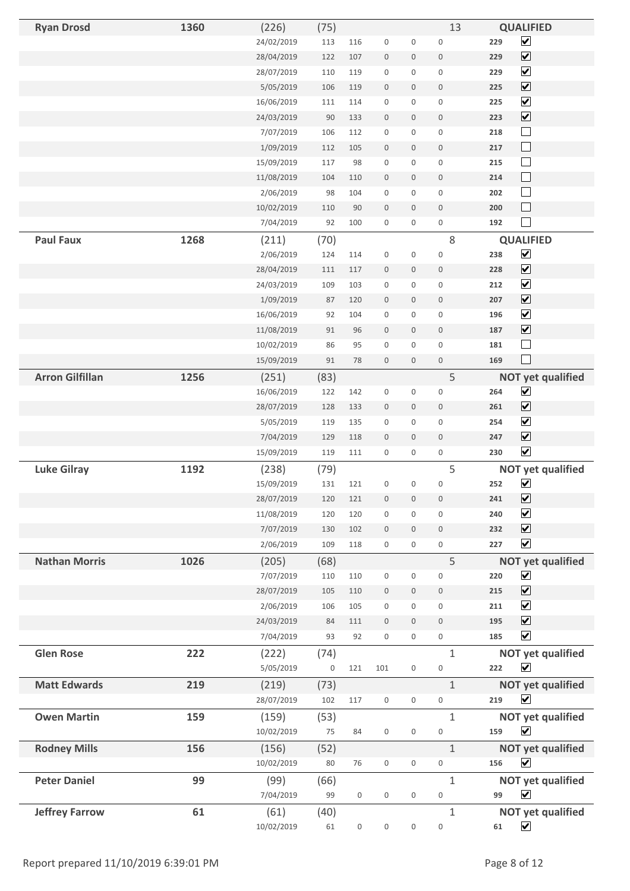| <b>Ryan Drosd</b>      | 1360 | (226)      | (75)             |                  |                  |                  | 13               | <b>QUALIFIED</b>                    |  |
|------------------------|------|------------|------------------|------------------|------------------|------------------|------------------|-------------------------------------|--|
|                        |      | 24/02/2019 | 113              | 116              | $\boldsymbol{0}$ | 0                | $\boldsymbol{0}$ | $\blacktriangledown$<br>229         |  |
|                        |      | 28/04/2019 | 122              | 107              | $\boldsymbol{0}$ | 0                | $\mathbf 0$      | $\boxed{\blacktriangledown}$<br>229 |  |
|                        |      | 28/07/2019 | 110              | 119              | $\boldsymbol{0}$ | 0                | $\boldsymbol{0}$ | $\overline{\mathbf{v}}$<br>229      |  |
|                        |      | 5/05/2019  | 106              | 119              | $\mathbf 0$      | $\mathbf 0$      | $\mathbf 0$      | $\boxed{\blacktriangledown}$<br>225 |  |
|                        |      | 16/06/2019 | 111              | 114              | $\boldsymbol{0}$ | 0                | $\mathbf 0$      | $\overline{\mathbf{v}}$<br>225      |  |
|                        |      | 24/03/2019 | 90               | 133              | $\mathbb O$      | $\mathbf 0$      | $\bf 0$          | $\boxed{\blacktriangledown}$<br>223 |  |
|                        |      | 7/07/2019  | 106              | 112              | $\boldsymbol{0}$ | 0                | $\boldsymbol{0}$ | $\Box$<br>218                       |  |
|                        |      | 1/09/2019  | 112              | 105              | $\boldsymbol{0}$ | 0                | $\boldsymbol{0}$ | $\Box$<br>217                       |  |
|                        |      | 15/09/2019 | 117              | 98               | $\boldsymbol{0}$ | 0                | $\boldsymbol{0}$ | $\Box$<br>215                       |  |
|                        |      | 11/08/2019 | 104              | 110              | $\boldsymbol{0}$ | 0                | $\mathbf 0$      | $\Box$<br>214                       |  |
|                        |      | 2/06/2019  | 98               | 104              | $\boldsymbol{0}$ | 0                | $\mathbf 0$      | $\Box$<br>202                       |  |
|                        |      | 10/02/2019 | 110              | 90               | $\boldsymbol{0}$ | $\mathbf 0$      | $\mathbf 0$      | $\Box$<br>200                       |  |
|                        |      | 7/04/2019  | 92               | 100              | $\boldsymbol{0}$ | 0                | $\boldsymbol{0}$ | $\Box$<br>192                       |  |
| <b>Paul Faux</b>       | 1268 | (211)      | (70)             |                  |                  |                  | $\,8\,$          | <b>QUALIFIED</b>                    |  |
|                        |      | 2/06/2019  | 124              | 114              | $\boldsymbol{0}$ | 0                | $\boldsymbol{0}$ | $\boxed{\checkmark}$<br>238         |  |
|                        |      | 28/04/2019 | 111              | 117              | $\mathbb O$      | 0                | $\boldsymbol{0}$ | $\boxed{\blacktriangledown}$<br>228 |  |
|                        |      | 24/03/2019 | 109              | 103              | $\boldsymbol{0}$ | 0                | $\boldsymbol{0}$ | $\overline{\mathbf{v}}$<br>212      |  |
|                        |      | 1/09/2019  | 87               | 120              | $\boldsymbol{0}$ | 0                | $\boldsymbol{0}$ | $\boxed{\blacktriangledown}$<br>207 |  |
|                        |      | 16/06/2019 | 92               | 104              | $\boldsymbol{0}$ | 0                | $\boldsymbol{0}$ | $\boxed{\blacktriangledown}$<br>196 |  |
|                        |      | 11/08/2019 | 91               | 96               | $\boldsymbol{0}$ | 0                | $\mathbf 0$      | $\overline{\mathbf{v}}$<br>187      |  |
|                        |      | 10/02/2019 | 86               | 95               | $\boldsymbol{0}$ | 0                | $\mathbf 0$      | $\Box$<br>181                       |  |
|                        |      | 15/09/2019 | 91               | 78               | $\boldsymbol{0}$ | $\boldsymbol{0}$ | $\mathbf 0$      | $\Box$<br>169                       |  |
| <b>Arron Gilfillan</b> | 1256 | (251)      | (83)             |                  |                  |                  | 5                | <b>NOT yet qualified</b>            |  |
|                        |      | 16/06/2019 | 122              | 142              | $\boldsymbol{0}$ | 0                | $\boldsymbol{0}$ | $\blacktriangledown$<br>264         |  |
|                        |      | 28/07/2019 | 128              | 133              | $\boldsymbol{0}$ | 0                | $\boldsymbol{0}$ | $\overline{\mathbf{v}}$<br>261      |  |
|                        |      | 5/05/2019  | 119              | 135              | $\mathbf 0$      | 0                | $\boldsymbol{0}$ | $\blacktriangledown$<br>254         |  |
|                        |      | 7/04/2019  | 129              | 118              | $\boldsymbol{0}$ | 0                | $\bf 0$          | $\boxed{\blacktriangledown}$<br>247 |  |
|                        |      | 15/09/2019 | 119              | 111              | $\mathbf 0$      | 0                | $\boldsymbol{0}$ | $\blacktriangledown$<br>230         |  |
| <b>Luke Gilray</b>     | 1192 | (238)      | (79)             |                  |                  |                  | 5                | <b>NOT yet qualified</b>            |  |
|                        |      | 15/09/2019 | 131              | 121              | $\boldsymbol{0}$ | 0                | $\mathbf 0$      | $\blacktriangledown$<br>252         |  |
|                        |      | 28/07/2019 | 120              | 121              | $\boldsymbol{0}$ | $\boldsymbol{0}$ | $\boldsymbol{0}$ | $\blacktriangledown$<br>241         |  |
|                        |      | 11/08/2019 | 120              | 120              | $\mathbf 0$      | 0                | $\boldsymbol{0}$ | $\blacktriangledown$<br>240         |  |
|                        |      | 7/07/2019  | 130              | 102              | $\boldsymbol{0}$ | $\boldsymbol{0}$ | $\boldsymbol{0}$ | $\overline{\mathbf{v}}$<br>232      |  |
|                        |      | 2/06/2019  | 109              | 118              | $\boldsymbol{0}$ | 0                | $\boldsymbol{0}$ | $\overline{\mathbf{v}}$<br>227      |  |
| <b>Nathan Morris</b>   | 1026 | (205)      | (68)             |                  |                  |                  | 5                | <b>NOT yet qualified</b>            |  |
|                        |      | 7/07/2019  | 110              | 110              | $\boldsymbol{0}$ | 0                | $\mathbf 0$      | $\boxed{\blacktriangledown}$<br>220 |  |
|                        |      | 28/07/2019 | 105              | 110              | $\mathbf 0$      | 0                | $\boldsymbol{0}$ | $\overline{\mathbf{v}}$<br>215      |  |
|                        |      | 2/06/2019  | 106              | 105              | $\boldsymbol{0}$ | 0                | $\mathbf 0$      | $\blacktriangledown$<br>211         |  |
|                        |      | 24/03/2019 | 84               | 111              | $\mathbf 0$      | $\mathbf 0$      | $\mathbf 0$      | $\boxed{\blacktriangledown}$<br>195 |  |
|                        |      | 7/04/2019  | 93               | 92               | $\boldsymbol{0}$ | 0                | $\boldsymbol{0}$ | $\blacktriangledown$<br>185         |  |
| <b>Glen Rose</b>       | 222  | (222)      | (74)             |                  |                  |                  | $\mathbf{1}$     | <b>NOT yet qualified</b>            |  |
|                        |      | 5/05/2019  | $\boldsymbol{0}$ | 121              | 101              | 0                | $\boldsymbol{0}$ | $\blacktriangledown$<br>222         |  |
| <b>Matt Edwards</b>    | 219  | (219)      | (73)             |                  |                  |                  | $\mathbf{1}$     | <b>NOT yet qualified</b>            |  |
|                        |      | 28/07/2019 | 102              | 117              | $\mathbf 0$      | 0                | 0                | $\blacktriangledown$<br>219         |  |
| <b>Owen Martin</b>     | 159  | (159)      | (53)             |                  |                  |                  | $\mathbf{1}$     | <b>NOT yet qualified</b>            |  |
|                        |      | 10/02/2019 | 75               | 84               | $\boldsymbol{0}$ | 0                | $\boldsymbol{0}$ | $\overline{\mathbf{v}}$<br>159      |  |
| <b>Rodney Mills</b>    | 156  | (156)      | (52)             |                  |                  |                  | $\mathbf{1}$     | <b>NOT yet qualified</b>            |  |
|                        |      | 10/02/2019 | 80               | 76               | $\mathbf 0$      | 0                | 0                | $\blacktriangledown$<br>156         |  |
| <b>Peter Daniel</b>    | 99   | (99)       | (66)             |                  |                  |                  | $\mathbf{1}$     | <b>NOT yet qualified</b>            |  |
|                        |      | 7/04/2019  | 99               | $\boldsymbol{0}$ | $\boldsymbol{0}$ | 0                | $\boldsymbol{0}$ | $\overline{\mathbf{v}}$<br>99       |  |
| <b>Jeffrey Farrow</b>  | 61   | (61)       | (40)             |                  |                  |                  | $\mathbf{1}$     | <b>NOT yet qualified</b>            |  |
|                        |      | 10/02/2019 | 61               | $\boldsymbol{0}$ | $\boldsymbol{0}$ | 0                | $\boldsymbol{0}$ | $\overline{\mathbf{v}}$<br>61       |  |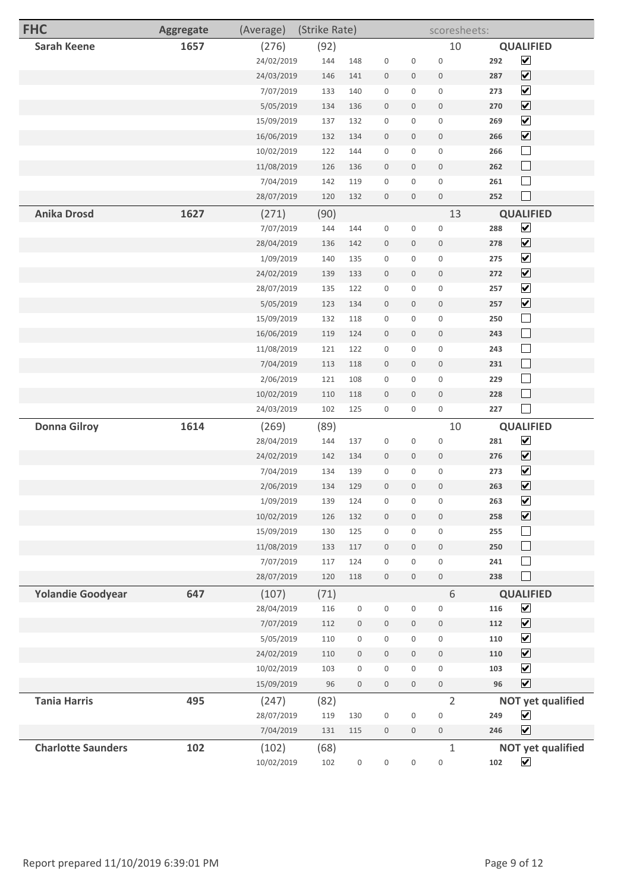| <b>FHC</b>                | <b>Aggregate</b> | (Average)               | (Strike Rate) |                  |                                      |                  | scoresheets:                    |            |                                          |
|---------------------------|------------------|-------------------------|---------------|------------------|--------------------------------------|------------------|---------------------------------|------------|------------------------------------------|
| <b>Sarah Keene</b>        | 1657             | (276)                   | (92)          |                  |                                      |                  | 10                              |            | <b>QUALIFIED</b>                         |
|                           |                  | 24/02/2019              | 144           | 148              | $\boldsymbol{0}$                     | 0                | $\boldsymbol{0}$                | 292        | $\overline{\mathbf{v}}$                  |
|                           |                  | 24/03/2019              | 146           | 141              | $\mathbf 0$                          | $\boldsymbol{0}$ | $\mathbf 0$                     | 287        | $\boxed{\blacktriangledown}$             |
|                           |                  | 7/07/2019               | 133           | 140              | $\boldsymbol{0}$                     | 0                | $\boldsymbol{0}$                | 273        | $\blacktriangledown$                     |
|                           |                  | 5/05/2019               | 134           | 136              | $\bf 0$                              | $\boldsymbol{0}$ | $\bf 0$                         | 270        | $\boxed{\blacktriangledown}$             |
|                           |                  | 15/09/2019              | 137           | 132              | $\boldsymbol{0}$                     | $\mathbf 0$      | $\boldsymbol{0}$                | 269        | $\boxed{\blacktriangledown}$             |
|                           |                  | 16/06/2019              | 132           | 134              | $\theta$                             | $\boldsymbol{0}$ | $\,0\,$                         | 266        | $\boxed{\mathbf{v}}$                     |
|                           |                  | 10/02/2019              | 122           | 144              | $\boldsymbol{0}$                     | 0                | $\boldsymbol{0}$                | 266        | $\Box$                                   |
|                           |                  | 11/08/2019              | 126           | 136              | $\boldsymbol{0}$                     | 0                | $\boldsymbol{0}$                | 262        | $\Box$                                   |
|                           |                  | 7/04/2019               | 142           | 119              | $\boldsymbol{0}$                     | 0                | $\boldsymbol{0}$                | 261        | $\Box$                                   |
|                           |                  | 28/07/2019              | 120           | 132              | $\mathbb O$                          | $\boldsymbol{0}$ | $\mathbf 0$                     | 252        | $\Box$                                   |
| <b>Anika Drosd</b>        | 1627             | (271)                   | (90)          |                  |                                      |                  | 13                              |            | <b>QUALIFIED</b>                         |
|                           |                  | 7/07/2019               | 144           | 144              | $\boldsymbol{0}$                     | 0                | $\boldsymbol{0}$                | 288        | $\overline{\mathbf{v}}$                  |
|                           |                  | 28/04/2019              | 136           | 142              | $\boldsymbol{0}$                     | 0                | $\boldsymbol{0}$                | 278        | $\overline{\mathbf{v}}$                  |
|                           |                  | 1/09/2019               | 140           | 135              | $\boldsymbol{0}$                     | 0                | $\boldsymbol{0}$                | 275        | $\overline{\mathbf{v}}$                  |
|                           |                  | 24/02/2019              | 139           | 133              | $\mathbf 0$                          | 0                | $\overline{0}$                  | 272        | $\boxed{\blacktriangledown}$             |
|                           |                  | 28/07/2019              | 135           | 122              | $\boldsymbol{0}$                     | 0                | $\boldsymbol{0}$                | 257        | $\blacktriangledown$                     |
|                           |                  | 5/05/2019               | 123           | 134              | $\mathbb O$                          | $\mathbf 0$      | $\mathbf 0$                     | 257        | $\overline{\mathbf{v}}$                  |
|                           |                  | 15/09/2019              | 132           | 118              | $\mathbf 0$                          | 0                | $\boldsymbol{0}$                | 250        | $\Box$                                   |
|                           |                  | 16/06/2019              | 119           | 124              | $\boldsymbol{0}$                     | 0                | $\mathbf 0$                     | 243        | $\Box$                                   |
|                           |                  | 11/08/2019              | 121           | 122              | $\boldsymbol{0}$                     | 0                | $\boldsymbol{0}$                | 243        | $\Box$                                   |
|                           |                  | 7/04/2019               | 113           | 118              | $\boldsymbol{0}$                     | 0                | $\overline{0}$                  | 231        | $\Box$                                   |
|                           |                  | 2/06/2019               | 121           | 108              | $\boldsymbol{0}$                     | 0                | $\boldsymbol{0}$                | 229        | $\Box$                                   |
|                           |                  | 10/02/2019              | 110           | 118              | $\mathbf 0$                          | 0                | $\overline{0}$                  | 228        | ⊔                                        |
|                           |                  | 24/03/2019              | 102           | 125              | $\boldsymbol{0}$                     | 0                | $\boldsymbol{0}$                | 227        | $\mathcal{L}$                            |
| <b>Donna Gilroy</b>       | 1614             | (269)                   | (89)          |                  |                                      |                  | 10                              |            | <b>QUALIFIED</b>                         |
|                           |                  | 28/04/2019              | 144           | 137              | $\boldsymbol{0}$                     | 0                | $\mathbf 0$                     | 281        | $\boxed{\blacktriangledown}$             |
|                           |                  | 24/02/2019              | 142           | 134              | $\mathbf 0$                          | 0                | $\overline{0}$                  | 276        | $\boxed{\mathbf{v}}$                     |
|                           |                  | 7/04/2019               | 134           | 139              | $\boldsymbol{0}$                     | 0                | $\boldsymbol{0}$                | 273        | $\triangledown$                          |
|                           |                  | 2/06/2019               | 134           | 129              | $\mathbf 0$                          | $\mathbf 0$      | $\mathbf 0$                     | 263        | ☑                                        |
|                           |                  | 1/09/2019               | 139           | 124              | $\boldsymbol{0}$                     | $\boldsymbol{0}$ | $\boldsymbol{0}$                | 263        | $\blacktriangledown$                     |
|                           |                  | 10/02/2019              | 126           | 132              | $\boldsymbol{0}$                     | 0                | $\mathbb O$                     | 258        | $\boxed{\blacktriangledown}$             |
|                           |                  | 15/09/2019              | 130           | 125              | $\boldsymbol{0}$                     | 0                | $\mathbf 0$                     | 255        | $\Box$                                   |
|                           |                  | 11/08/2019<br>7/07/2019 | 133           | 117<br>124       | $\mathbf 0$                          | 0<br>0           | $\mathbf 0$                     | 250<br>241 | $\Box$<br>$\sim$                         |
|                           |                  | 28/07/2019              | 117<br>120    | 118              | $\boldsymbol{0}$<br>$\boldsymbol{0}$ | $\boldsymbol{0}$ | $\boldsymbol{0}$<br>$\mathbf 0$ | 238        | П                                        |
|                           |                  |                         |               |                  |                                      |                  |                                 |            |                                          |
| <b>Yolandie Goodyear</b>  | 647              | (107)<br>28/04/2019     | (71)<br>116   | 0                | $\boldsymbol{0}$                     | 0                | $6\,$<br>$\boldsymbol{0}$       | 116        | <b>QUALIFIED</b><br>$\boxed{\mathbf{v}}$ |
|                           |                  | 7/07/2019               | 112           | 0                | $\,0\,$                              | $\boldsymbol{0}$ | $\boldsymbol{0}$                | 112        | $\boxed{\blacktriangledown}$             |
|                           |                  | 5/05/2019               | 110           | 0                | $\mathbf 0$                          | 0                | $\boldsymbol{0}$                | 110        | $\overline{\mathbf{v}}$                  |
|                           |                  | 24/02/2019              | 110           | $\boldsymbol{0}$ | $\boldsymbol{0}$                     | $\mathbf 0$      | $\mathbf 0$                     | 110        | $\boxed{\blacktriangledown}$             |
|                           |                  | 10/02/2019              | 103           | 0                | $\boldsymbol{0}$                     | 0                | $\mathsf{O}\xspace$             | 103        | $\boxed{\blacktriangledown}$             |
|                           |                  | 15/09/2019              | 96            | $\boldsymbol{0}$ | $\mathbb O$                          | $\boldsymbol{0}$ | $\mathbb O$                     | 96         | $\boxed{\blacktriangledown}$             |
| <b>Tania Harris</b>       | 495              | (247)                   | (82)          |                  |                                      |                  | $\overline{2}$                  |            | <b>NOT yet qualified</b>                 |
|                           |                  | 28/07/2019              | 119           | 130              | $\mathbf 0$                          | $\boldsymbol{0}$ | $\mathbf 0$                     | 249        | $\overline{\mathbf{v}}$                  |
|                           |                  | 7/04/2019               | 131           | 115              | $\boldsymbol{0}$                     | 0                | $\mathbf 0$                     | 246        | $\overline{\mathbf{v}}$                  |
| <b>Charlotte Saunders</b> | 102              | (102)                   | (68)          |                  |                                      |                  | $\mathbf{1}$                    |            | <b>NOT yet qualified</b>                 |
|                           |                  | 10/02/2019              | 102           | $\boldsymbol{0}$ | $\boldsymbol{0}$                     | 0                | $\boldsymbol{0}$                | 102        | $\blacktriangledown$                     |
|                           |                  |                         |               |                  |                                      |                  |                                 |            |                                          |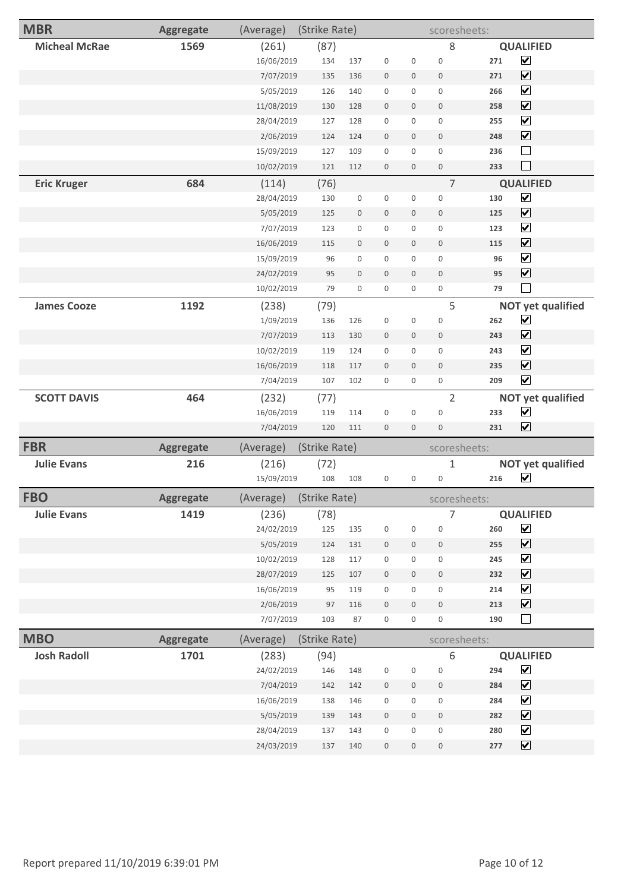| <b>MBR</b>           | <b>Aggregate</b> | (Average)  | (Strike Rate) |                     |                  |                  | scoresheets:        |     |                              |
|----------------------|------------------|------------|---------------|---------------------|------------------|------------------|---------------------|-----|------------------------------|
| <b>Micheal McRae</b> | 1569             | (261)      | (87)          |                     |                  |                  | 8                   |     | <b>QUALIFIED</b>             |
|                      |                  | 16/06/2019 | 134           | 137                 | $\boldsymbol{0}$ | $\boldsymbol{0}$ | $\boldsymbol{0}$    | 271 | $\blacktriangledown$         |
|                      |                  | 7/07/2019  | 135           | 136                 | $\boldsymbol{0}$ | $\mathbf 0$      | $\mathbf 0$         | 271 | $\boxed{\blacktriangledown}$ |
|                      |                  | 5/05/2019  | 126           | 140                 | $\boldsymbol{0}$ | 0                | $\mathsf 0$         | 266 | $\blacktriangledown$         |
|                      |                  | 11/08/2019 | 130           | 128                 | $\boldsymbol{0}$ | $\mathbf 0$      | $\mathbf 0$         | 258 | $\boxed{\blacktriangledown}$ |
|                      |                  | 28/04/2019 | 127           | 128                 | $\boldsymbol{0}$ | $\mathbf 0$      | $\mathsf 0$         | 255 | $\boxed{\blacktriangledown}$ |
|                      |                  | 2/06/2019  | 124           | 124                 | $\mathbf 0$      | $\mathbf 0$      | $\boldsymbol{0}$    | 248 | $\boxed{\blacktriangledown}$ |
|                      |                  | 15/09/2019 | 127           | 109                 | $\boldsymbol{0}$ | $\mathbf 0$      | $\boldsymbol{0}$    | 236 | $\Box$                       |
|                      |                  | 10/02/2019 | 121           | 112                 | $\mathbf 0$      | $\mathbf 0$      | $\,0\,$             | 233 | $\Box$                       |
| <b>Eric Kruger</b>   | 684              | (114)      | (76)          |                     |                  |                  | $\overline{7}$      |     | <b>QUALIFIED</b>             |
|                      |                  | 28/04/2019 | 130           | $\boldsymbol{0}$    | $\boldsymbol{0}$ | 0                | $\boldsymbol{0}$    | 130 | $\blacktriangledown$         |
|                      |                  | 5/05/2019  | 125           | $\boldsymbol{0}$    | $\boldsymbol{0}$ | $\boldsymbol{0}$ | $\boldsymbol{0}$    | 125 | $\boxed{\blacktriangledown}$ |
|                      |                  | 7/07/2019  | 123           | $\mathsf{O}\xspace$ | $\boldsymbol{0}$ | $\mathsf 0$      | $\mathbf 0$         | 123 | $\blacktriangledown$         |
|                      |                  | 16/06/2019 | 115           | $\boldsymbol{0}$    | $\boldsymbol{0}$ | $\boldsymbol{0}$ | $\boldsymbol{0}$    | 115 | $\boxed{\mathbf{v}}$         |
|                      |                  | 15/09/2019 | 96            | 0                   | $\boldsymbol{0}$ | 0                | $\boldsymbol{0}$    | 96  | $\blacktriangledown$         |
|                      |                  | 24/02/2019 | 95            | $\boldsymbol{0}$    | $\boldsymbol{0}$ | $\mathbf 0$      | $\boldsymbol{0}$    | 95  | $\blacktriangledown$         |
|                      |                  | 10/02/2019 | 79            | $\mathbf 0$         | $\boldsymbol{0}$ | $\mathbf 0$      | $\mathsf{O}\xspace$ | 79  | $\Box$                       |
| <b>James Cooze</b>   | 1192             | (238)      | (79)          |                     |                  |                  | 5                   |     | <b>NOT yet qualified</b>     |
|                      |                  | 1/09/2019  | 136           | 126                 | $\boldsymbol{0}$ | 0                | $\boldsymbol{0}$    | 262 | $\blacktriangledown$         |
|                      |                  | 7/07/2019  | 113           | 130                 | $\boldsymbol{0}$ | $\mathbf 0$      | $\boldsymbol{0}$    | 243 | $\boxed{\blacktriangledown}$ |
|                      |                  | 10/02/2019 | 119           | 124                 | $\boldsymbol{0}$ | 0                | $\boldsymbol{0}$    | 243 | $\blacktriangledown$         |
|                      |                  | 16/06/2019 | 118           | 117                 | $\boldsymbol{0}$ | $\mathbf 0$      | $\boldsymbol{0}$    | 235 | $\boxed{\blacktriangledown}$ |
|                      |                  | 7/04/2019  | 107           | 102                 | $\boldsymbol{0}$ | $\mathbf 0$      | $\boldsymbol{0}$    | 209 | $\overline{\mathbf{v}}$      |
| <b>SCOTT DAVIS</b>   | 464              | (232)      | (77)          |                     |                  |                  | $\overline{2}$      |     | <b>NOT yet qualified</b>     |
|                      |                  | 16/06/2019 | 119           | 114                 | $\boldsymbol{0}$ | 0                | $\boldsymbol{0}$    | 233 | $\blacktriangledown$         |
|                      |                  | 7/04/2019  | 120           | 111                 | $\boldsymbol{0}$ | $\boldsymbol{0}$ | $\boldsymbol{0}$    | 231 | $\boxed{\mathbf{v}}$         |
| <b>FBR</b>           | <b>Aggregate</b> | (Average)  | (Strike Rate) |                     |                  |                  | scoresheets:        |     |                              |
| <b>Julie Evans</b>   | 216              | (216)      | (72)          |                     |                  |                  | $\mathbf 1$         |     | <b>NOT yet qualified</b>     |
|                      |                  | 15/09/2019 | 108           | 108                 | $\boldsymbol{0}$ | $\boldsymbol{0}$ | $\boldsymbol{0}$    | 216 | $\blacktriangledown$         |
| <b>FBO</b>           | <b>Aggregate</b> | (Average)  | (Strike Rate) |                     |                  |                  | scoresheets:        |     |                              |
| <b>Julie Evans</b>   | 1419             | (236)      | (78)          |                     |                  |                  | $\overline{7}$      |     | <b>QUALIFIED</b>             |
|                      |                  | 24/02/2019 | 125           | 135                 | $\boldsymbol{0}$ | $\boldsymbol{0}$ | $\boldsymbol{0}$    | 260 | $\blacktriangledown$         |
|                      |                  | 5/05/2019  | 124           | 131                 | $\boldsymbol{0}$ | 0                | $\boldsymbol{0}$    | 255 | $\boxed{\blacktriangledown}$ |
|                      |                  | 10/02/2019 | 128           | 117                 | $\boldsymbol{0}$ | 0                | $\boldsymbol{0}$    | 245 | $\blacktriangledown$         |
|                      |                  | 28/07/2019 | 125           | 107                 | $\boldsymbol{0}$ | $\boldsymbol{0}$ | $\,0\,$             | 232 | $\boxed{\blacktriangledown}$ |
|                      |                  | 16/06/2019 | 95            | 119                 | $\boldsymbol{0}$ | 0                | $\boldsymbol{0}$    | 214 | $\blacktriangledown$         |
|                      |                  | 2/06/2019  | 97            | 116                 | $\boldsymbol{0}$ | 0                | $\boldsymbol{0}$    | 213 | $\boxed{\mathbf{v}}$         |
|                      |                  | 7/07/2019  | 103           | 87                  | $\boldsymbol{0}$ | 0                | $\mathsf{O}\xspace$ | 190 | $\Box$                       |
| <b>MBO</b>           | <b>Aggregate</b> | (Average)  | (Strike Rate) |                     |                  |                  | scoresheets:        |     |                              |
| <b>Josh Radoll</b>   | 1701             | (283)      | (94)          |                     |                  |                  | 6                   |     | <b>QUALIFIED</b>             |
|                      |                  | 24/02/2019 | 146           | 148                 | $\boldsymbol{0}$ | $\boldsymbol{0}$ | $\mathbf 0$         | 294 | $\blacktriangledown$         |
|                      |                  | 7/04/2019  | 142           | 142                 | $\boldsymbol{0}$ | 0                | $\boldsymbol{0}$    | 284 | $\boxed{\blacktriangledown}$ |
|                      |                  | 16/06/2019 | 138           | 146                 | $\boldsymbol{0}$ | 0                | $\boldsymbol{0}$    | 284 | $\blacktriangledown$         |
|                      |                  | 5/05/2019  | 139           | 143                 | $\boldsymbol{0}$ | $\mathbf 0$      | $\boldsymbol{0}$    | 282 | $\boxed{\blacktriangledown}$ |
|                      |                  | 28/04/2019 | 137           | 143                 | $\boldsymbol{0}$ | 0                | $\boldsymbol{0}$    | 280 | $\blacktriangledown$         |
|                      |                  | 24/03/2019 | 137           | 140                 | $\boldsymbol{0}$ | $\boldsymbol{0}$ | $\boldsymbol{0}$    | 277 | $\boxed{\mathbf{v}}$         |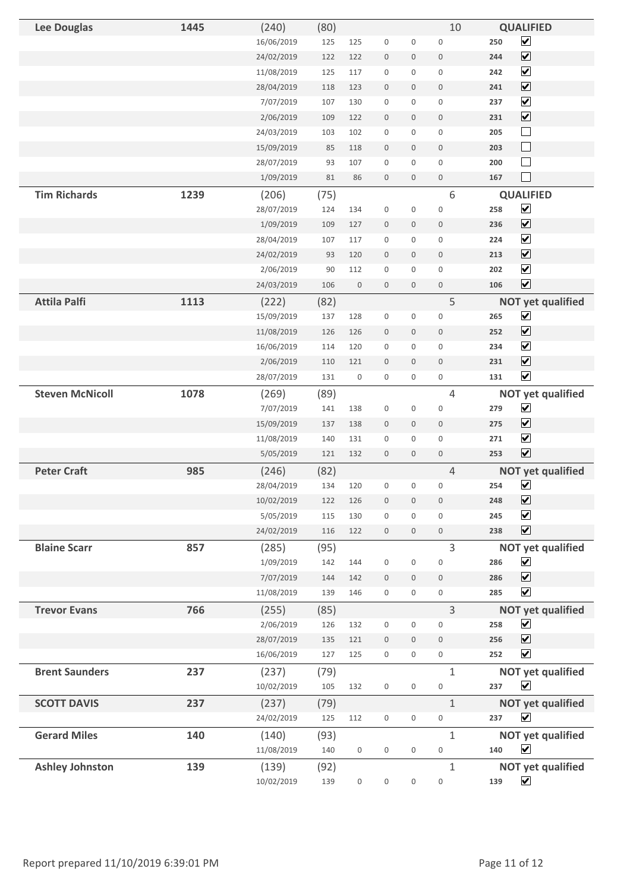| <b>Lee Douglas</b>     | 1445 | (240)      | (80)        |                  |                     |                  | 10                  | <b>QUALIFIED</b>                                        |
|------------------------|------|------------|-------------|------------------|---------------------|------------------|---------------------|---------------------------------------------------------|
|                        |      | 16/06/2019 | 125         | 125              | $\boldsymbol{0}$    | $\boldsymbol{0}$ | $\boldsymbol{0}$    | $\overline{\mathbf{v}}$<br>250                          |
|                        |      | 24/02/2019 | 122         | 122              | $\boldsymbol{0}$    | $\mathbf 0$      | $\boldsymbol{0}$    | $\boxed{\blacktriangledown}$<br>244                     |
|                        |      | 11/08/2019 | 125         | 117              | $\boldsymbol{0}$    | $\boldsymbol{0}$ | $\mathsf{O}\xspace$ | $\overline{\mathbf{v}}$<br>242                          |
|                        |      | 28/04/2019 | 118         | 123              | $\boldsymbol{0}$    | $\mathbf 0$      | $\mathbf 0$         | $\boxed{\blacktriangledown}$<br>241                     |
|                        |      | 7/07/2019  | 107         | 130              | $\mathsf{O}\xspace$ | 0                | $\mathsf{O}\xspace$ | $\overline{\mathbf{v}}$<br>237                          |
|                        |      | 2/06/2019  | 109         | 122              | $\boldsymbol{0}$    | $\mathbf 0$      | $\boldsymbol{0}$    | $\boxed{\blacktriangledown}$<br>231                     |
|                        |      | 24/03/2019 | 103         | 102              | $\boldsymbol{0}$    | $\mathsf 0$      | $\boldsymbol{0}$    | $\Box$<br>205                                           |
|                        |      | 15/09/2019 | 85          | 118              | $\boldsymbol{0}$    | $\mathbf 0$      | $\boldsymbol{0}$    | $\Box$<br>203                                           |
|                        |      | 28/07/2019 | 93          | 107              | $\boldsymbol{0}$    | $\mathbf 0$      | $\boldsymbol{0}$    | $\Box$<br>200                                           |
|                        |      | 1/09/2019  | 81          | 86               | $\boldsymbol{0}$    | $\mathbf 0$      | $\boldsymbol{0}$    | $\Box$<br>167                                           |
| <b>Tim Richards</b>    | 1239 | (206)      | (75)        |                  |                     |                  | 6                   | <b>QUALIFIED</b>                                        |
|                        |      | 28/07/2019 | 124         | 134              | $\boldsymbol{0}$    | $\boldsymbol{0}$ | $\boldsymbol{0}$    | $\boxed{\blacktriangledown}$<br>258                     |
|                        |      | 1/09/2019  | 109         | 127              | $\boldsymbol{0}$    | $\boldsymbol{0}$ | $\boldsymbol{0}$    | $\overline{\mathbf{v}}$<br>236                          |
|                        |      | 28/04/2019 | 107         | 117              | $\boldsymbol{0}$    | $\mathbf 0$      | $\boldsymbol{0}$    | $\overline{\mathbf{v}}$<br>224                          |
|                        |      | 24/02/2019 | 93          | 120              | $\boldsymbol{0}$    | $\mathbf 0$      | $\boldsymbol{0}$    | $\boxed{\mathbf{v}}$<br>213                             |
|                        |      | 2/06/2019  | 90          | 112              | $\boldsymbol{0}$    | 0                | $\boldsymbol{0}$    | $\blacktriangledown$<br>202                             |
|                        |      | 24/03/2019 | 106         | $\boldsymbol{0}$ | $\boldsymbol{0}$    | $\mathbf 0$      | $\boldsymbol{0}$    | $\overline{\mathbf{v}}$<br>106                          |
| <b>Attila Palfi</b>    | 1113 | (222)      | (82)        |                  |                     |                  | 5                   | <b>NOT yet qualified</b>                                |
|                        |      | 15/09/2019 | 137         | 128              | $\boldsymbol{0}$    | $\boldsymbol{0}$ | $\mathbf 0$         | $\blacktriangledown$<br>265                             |
|                        |      | 11/08/2019 | 126         | 126              | $\boldsymbol{0}$    | $\mathbf 0$      | $\mathbf 0$         | $\overline{\mathbf{v}}$<br>252                          |
|                        |      | 16/06/2019 | 114         | 120              | $\boldsymbol{0}$    | 0                | $\boldsymbol{0}$    | $\blacktriangledown$<br>234                             |
|                        |      | 2/06/2019  | 110         | 121              | $\boldsymbol{0}$    | $\boldsymbol{0}$ | $\boldsymbol{0}$    | $\boxed{\blacktriangledown}$<br>231                     |
|                        |      | 28/07/2019 | 131         | $\mathbf 0$      | $\mathbf 0$         | $\mathbf 0$      | $\boldsymbol{0}$    | $\blacktriangledown$<br>131                             |
| <b>Steven McNicoll</b> | 1078 | (269)      | (89)        |                  |                     |                  | $\overline{4}$      | <b>NOT yet qualified</b>                                |
|                        |      | 7/07/2019  | 141         | 138              | $\boldsymbol{0}$    | $\boldsymbol{0}$ | $\boldsymbol{0}$    | $\blacktriangledown$<br>279                             |
|                        |      | 15/09/2019 | 137         | 138              | $\boldsymbol{0}$    | $\mathbf 0$      | $\mathbf 0$         | $\overline{\mathbf{v}}$<br>275                          |
|                        |      | 11/08/2019 | 140         | 131              | $\mathsf{O}\xspace$ | $\mathbf 0$      | $\mathsf{O}\xspace$ | $\blacktriangledown$<br>271                             |
|                        |      | 5/05/2019  | 121         | 132              | $\mathsf{O}\xspace$ | $\mathbf 0$      | $\boldsymbol{0}$    | $\overline{\mathbf{v}}$<br>253                          |
| <b>Peter Craft</b>     | 985  | (246)      | (82)        |                  |                     |                  | $\overline{4}$      | <b>NOT yet qualified</b>                                |
|                        |      | 28/04/2019 | 134         | 120              | $\mathsf{O}\xspace$ | 0                | 0                   | $\blacktriangledown$<br>254                             |
|                        |      | 10/02/2019 | 122         | 126              | $\boldsymbol{0}$    | $\boldsymbol{0}$ | $\boldsymbol{0}$    | $\boxed{\mathbf{v}}$<br>248                             |
|                        |      | 5/05/2019  | 115         | 130              | $\mathsf{O}\xspace$ | $\mathbf 0$      | $\mathbf 0$         | $\blacktriangledown$<br>245                             |
|                        |      | 24/02/2019 | 116         | 122              | $\boldsymbol{0}$    | $\mathbf 0$      | $\boldsymbol{0}$    | $\boxed{\blacktriangledown}$<br>238                     |
| <b>Blaine Scarr</b>    | 857  | (285)      | (95)        |                  |                     |                  | 3                   | <b>NOT yet qualified</b>                                |
|                        |      | 1/09/2019  | 142         | 144              | $\boldsymbol{0}$    | $\boldsymbol{0}$ | $\boldsymbol{0}$    | $\blacktriangledown$<br>286                             |
|                        |      | 7/07/2019  | 144         | 142              | $\boldsymbol{0}$    | $\mathbf 0$      | $\boldsymbol{0}$    | $\overline{\mathbf{v}}$<br>286                          |
|                        |      | 11/08/2019 | 139         | 146              | $\boldsymbol{0}$    | $\mathbf 0$      | $\mathbf 0$         | $\blacktriangledown$<br>285                             |
| <b>Trevor Evans</b>    | 766  | (255)      | (85)        |                  |                     |                  | 3                   | <b>NOT yet qualified</b>                                |
|                        |      | 2/06/2019  | 126         | 132              | $\mathsf{O}\xspace$ | $\boldsymbol{0}$ | $\boldsymbol{0}$    | $\blacktriangledown$<br>258                             |
|                        |      | 28/07/2019 | 135         | 121              | $\boldsymbol{0}$    | $\mathbf 0$      | $\boldsymbol{0}$    | $\overline{\mathbf{v}}$<br>256                          |
|                        |      | 16/06/2019 | 127         | 125              | $\boldsymbol{0}$    | $\boldsymbol{0}$ | $\boldsymbol{0}$    | $\overline{\mathbf{v}}$<br>252                          |
| <b>Brent Saunders</b>  | 237  | (237)      | (79)        |                  |                     |                  | $\mathbf{1}$        | <b>NOT yet qualified</b>                                |
|                        |      | 10/02/2019 | 105         | 132              | $\boldsymbol{0}$    | $\boldsymbol{0}$ | $\boldsymbol{0}$    | $\blacktriangledown$<br>237                             |
| <b>SCOTT DAVIS</b>     | 237  | (237)      |             |                  |                     |                  | $\mathbf{1}$        |                                                         |
|                        |      | 24/02/2019 | (79)<br>125 | 112              | $\boldsymbol{0}$    | $\boldsymbol{0}$ | $\boldsymbol{0}$    | <b>NOT yet qualified</b><br>$\blacktriangledown$<br>237 |
|                        |      |            |             |                  |                     |                  |                     |                                                         |
| <b>Gerard Miles</b>    | 140  | (140)      | (93)        |                  |                     |                  | $\mathbf{1}$        | <b>NOT yet qualified</b>                                |
|                        |      | 11/08/2019 | 140         | $\boldsymbol{0}$ | $\boldsymbol{0}$    | $\boldsymbol{0}$ | $\boldsymbol{0}$    | $\blacktriangledown$<br>140                             |
| <b>Ashley Johnston</b> | 139  | (139)      | (92)        |                  |                     |                  | $\mathbf{1}$        | <b>NOT yet qualified</b>                                |
|                        |      | 10/02/2019 | 139         | $\boldsymbol{0}$ | $\boldsymbol{0}$    | $\boldsymbol{0}$ | $\boldsymbol{0}$    | $\blacktriangledown$<br>139                             |